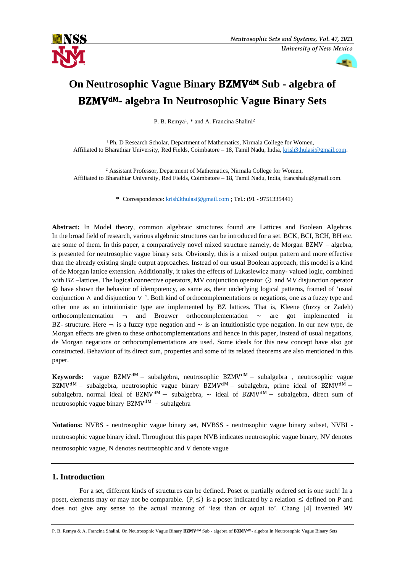



# **On Neutrosophic Vague Binary BZMV<sup>dM</sup> Sub - algebra of - algebra In Neutrosophic Vague Binary Sets**

P. B. Remya<sup>1</sup>, \* and A. Francina Shalini<sup>2</sup>

<sup>1</sup> Ph. D Research Scholar, Department of Mathematics, Nirmala College for Women, Affiliated to Bharathiar University, Red Fields, Coimbatore – 18, Tamil Nadu, India, [krish3thulasi@gmail.com.](mailto:krish3thulasi@gmail.com)

<sup>2</sup> Assistant Professor, Department of Mathematics, Nirmala College for Women, Affiliated to Bharathiar University, Red Fields, Coimbatore – 18, Tamil Nadu, India, francshalu@gmail.com.

**\*** Correspondence: [krish3thulasi@gmail.com](mailto:krish3thulasi@gmail.com) ; Tel.: (91 - 9751335441)

**Abstract:** In Model theory, common algebraic structures found are Lattices and Boolean Algebras. In the broad field of research, various algebraic structures can be introduced for a set. BCK, BCI, BCH, BH etc. are some of them. In this paper, a comparatively novel mixed structure namely, de Morgan BZMV – algebra, is presented for neutrosophic vague binary sets. Obviously, this is a mixed output pattern and more effective than the already existing single output approaches. Instead of our usual Boolean approach, this model is a kind of de Morgan lattice extension. Additionally, it takes the effects of Lukasiewicz many- valued logic, combined with BZ –lattices. The logical connective operators, MV conjunction operator ⊙ and MV disjunction operator ⨁ have shown the behavior of idempotency, as same as, their underlying logical patterns, framed of 'usual conjunction ∧ and disjunction ∨ '. Both kind of orthocomplementations or negations, one as a fuzzy type and other one as an intuitionistic type are implemented by BZ lattices. That is, Kleene (fuzzy or Zadeh) orthocomplementation  $\rightarrow$  and Brouwer orthocomplementation  $\sim$  are got implemented in BZ- structure. Here  $\neg$  is a fuzzy type negation and  $\neg$  is an intuitionistic type negation. In our new type, de Morgan effects are given to these orthocomplementations and hence in this paper, instead of usual negations, de Morgan negations or orthocomplementations are used. Some ideals for this new concept have also got constructed. Behaviour of its direct sum, properties and some of its related theorems are also mentioned in this paper.

**Keywords:** vague BZMV<sup>dM</sup> – subalgebra, neutrosophic BZMV<sup>dM</sup> – subalgebra, neutrosophic vague BZMV<sup>dM</sup> – subalgebra, neutrosophic vague binary BZMV<sup>dM</sup> – subalgebra, prime ideal of BZMV<sup>dM</sup> – subalgebra, normal ideal of BZMV<sup>dM</sup> – subalgebra,  $\sim$  ideal of BZMV<sup>dM</sup> – subalgebra, direct sum of neutrosophic vague binary  $BZMV^{dM}$  – subalgebra

**Notations:** NVBS - neutrosophic vague binary set, NVBSS - neutrosophic vague binary subset, NVBI neutrosophic vague binary ideal. Throughout this paper NVB indicates neutrosophic vague binary, NV denotes neutrosophic vague, N denotes neutrosophic and V denote vague

### **1. Introduction**

 For a set, different kinds of structures can be defined. Poset or partially ordered set is one such! In a poset, elements may or may not be comparable.  $(P, \leq)$  is a poset indicated by a relation  $\leq$  defined on P and does not give any sense to the actual meaning of 'less than or equal to'. Chang [4] invented MV

P. B. Remya & A. Francina Shalini, On Neutrosophic Vague Binary BZMV<sup>dM</sup> Sub - algebra of BZMV<sup>dM</sup>- algebra In Neutrosophic Vague Binary Sets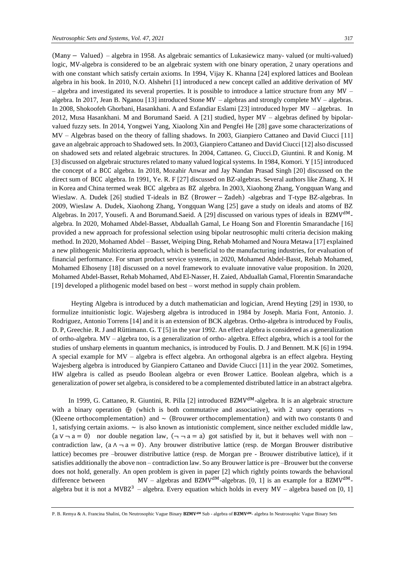(Many − Valued) – algebra in 1958. As algebraic semantics of Lukasiewicz many- valued (or multi-valued) logic, MV-algebra is considered to be an algebraic system with one binary operation, 2 unary operations and with one constant which satisfy certain axioms. In 1994, Vijay K. Khanna [24] explored lattices and Boolean algebra in his book. In 2010, N.O. Alshehri [1] introduced a new concept called an additive derivation of MV – algebra and investigated its several properties. It is possible to introduce a lattice structure from any MV – algebra. In 2017, Jean B. Nganou [13] introduced Stone MV – algebras and strongly complete MV – algebras. In 2008, Shokoofeh Ghorbani, Hasankhani. A and Esfandiar Eslami [23] introduced hyper MV – algebras. In 2012, Musa Hasankhani. M and Borumand Saeid. A [21] studied, hyper MV – algebras defined by bipolarvalued fuzzy sets. In 2014, Yongwei Yang, Xiaolong Xin and Pengfei He [28] gave some characterizations of MV – Algebras based on the theory of falling shadows. In 2003, Gianpiero Cattaneo and David Ciucci [11] gave an algebraic approach to Shadowed sets. In 2003, Gianpiero Cattaneo and David Ciucci [12] also discussed on shadowed sets and related algebraic structures. In 2004, Cattaneo. G, Ciucci.D, Giuntini. R and Konig. M [3] discussed on algebraic structures related to many valued logical systems. In 1984, Komori. Y [15] introduced the concept of a BCC algebra. In 2018, Mozahir Anwar and Jay Nandan Prasad Singh [20] discussed on the direct sum of BCC algebra. In 1991, Ye. R. F [27] discussed on BZ-algebras. Several authors like Zhang. X. H in Korea and China termed weak BCC algebra as BZ algebra. In 2003, Xiaohong Zhang, Yongquan Wang and Wieslaw. A. Dudek [26] studied T-ideals in BZ (Brower – Zadeh) -algebras and T-type BZ-algebras. In 2009, Wieslaw A. Dudek, Xiaohong Zhang, Yongquan Wang [25] gave a study on ideals and atoms of BZ Algebras. In 2017, Yousefi. A and Borumand. Saeid. A [29] discussed on various types of ideals in BZMV<sup>dM</sup>algebra. In 2020, Mohamed Abdel-Basset, Abduallah Gamal, Le Hoang Son and Florentin Smarandache [16] provided a new approach for professional selection using bipolar neutrosophic multi criteria decision making method. In 2020, Mohamed Abdel – Basset, Weiping Ding, Rehab Mohamed and Noura Metawa [17] explained a new plithogenic Multicriteria approach, which is beneficial to the manufacturing industries, for evaluation of financial performance. For smart product service systems, in 2020, Mohamed Abdel-Basst, Rehab Mohamed, Mohamed Elhoseny [18] discussed on a novel framework to evaluate innovative value proposition. In 2020, [Mohamed Abdel-Basset, Rehab Mohamed, Abd El-Nasser, H. Zaied, Abduallah Gamal, Florentin Smarandache](https://www.sciencedirect.com/science/article/pii/B9780128196700000019#!) [19] developed a plithogenic model based on best – worst method in supply chain problem.

 Heyting Algebra is introduced by a dutch mathematician and logician, Arend Heyting [29] in 1930, to formulize intuitionistic logic. Wajesberg algebra is introduced in 1984 by Joseph. Maria Font, Antonio. J. Rodriguez, Antonio Torrens [14] and it is an extension of BCK algebras. Ortho-algebra is introduced by Foulis, D. P, Greechie. R. J and Rüttimann. G. T [5] in the year 1992. An effect algebra is considered as a generalization of ortho-algebra. MV – algebra too, is a generalization of ortho- algebra. Effect algebra, which is a tool for the studies of unsharp elements in quantum mechanics, is introduced by Foulis. D. J and Bennett. M.K [6] in 1994. A special example for MV – algebra is effect algebra. An orthogonal algebra is an effect algebra. Heyting Wajesberg algebra is introduced by Gianpiero Cattaneo and Davide Ciucci [11] in the year 2002. Sometimes, HW algebra is called as pseudo Boolean algebra or even Brower Lattice. Boolean algebra, which is a generalization of power set algebra, is considered to be a complemented distributed lattice in an abstract algebra.

In 1999, G. Cattaneo, R. Giuntini, R. Pilla [2] introduced BZMV<sup>dM</sup>-algebra. It is an algebraic structure with a binary operation  $\oplus$  (which is both commutative and associative), with 2 unary operations  $\neg$ (Kleene orthocomplementation) and  $\sim$  (Brouwer orthocomplementation) and with two constants 0 and 1, satisfying certain axioms.  $\sim$  is also known as intutionistic complement, since neither excluded middle law,  $(a \vee \neg a = 0)$  nor double negation law,  $(\neg \neg a = a)$  got satisfied by it, but it behaves well with non – contradiction law,  $(a \land \neg a = 0)$ . Any brouwer distributive lattice (resp. de Morgan Brouwer distributive lattice) becomes pre –brouwer distributive lattice (resp. de Morgan pre - Brouwer distributive lattice), if it satisfies additionally the above non – contradiction law. So any Brouwer lattice is pre –Brouwer but the converse does not hold, generally. An open problem is given in paper [2] which rightly points towards the behavioral difference between MV – algebras and BZMV<sup>dM</sup>-algebras. [0, 1] is an example for a BZMV<sup>dM</sup>algebra but it is not a MVBZ<sup>3</sup> – algebra. Every equation which holds in every  $MV$  – algebra based on [0, 1]

P. B. Remya & A. Francina Shalini, On Neutrosophic Vague Binary BZMV<sup>dM</sup> Sub - algebra of BZMV<sup>dM</sup>- algebra In Neutrosophic Vague Binary Sets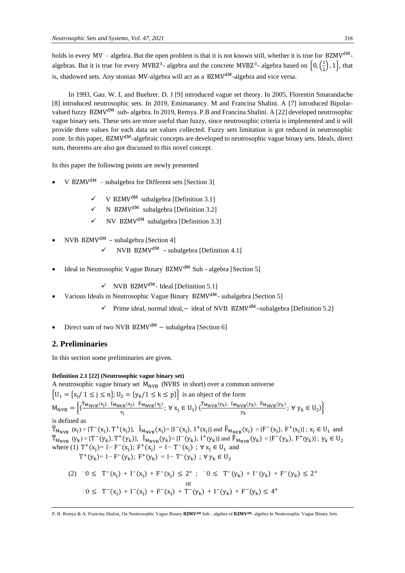holds in every  $MV$  – algebra. But the open problem is that it is not known still, whether it is true for BZMV<sup>dM</sup>algebras. But it is true for every MVBZ<sup>3</sup>- algebra and the concrete MVBZ<sup>3</sup>- algebra based on  $\{0, (\frac{1}{2})\}$  $\frac{1}{2}$ , 1, that is, shadowed sets. Any stonian MV-algebra will act as a BZMV<sup>dM</sup>-algebra and vice versa.

 In 1993, Gau. W. L and Buehrer. D. J [9] introduced vague set theory. In 2005, Florentin Smarandache [8] introduced neutrosophic sets. In 2019, Emimanancy. M and Francina Shalini. A [7] introduced Bipolarvalued fuzzy BZMV<sup>dM</sup> sub- algebra. In 2019, Remya. P.B and Francina Shalini. A [22] developed neutrosophic vague binary sets. These sets are more useful than fuzzy, since neutrosophic criteria is implemented and it will provide three values for each data set values collected. Fuzzy sets limitation is got reduced in neutrosophic zone. In this paper, BZMV<sup>dM</sup>-algebraic concepts are developed to neutrosophic vague binary sets. Ideals, direct sum, theorems are also got discussed to this novel concept.

In this paper the following points are newly presented

- V BZMV<sup>dM</sup> subalgebra for Different sets [Section 3]
	- $\checkmark$  V BZMV<sup>dM</sup> subalgebra [Definition 3.1]
	- $\checkmark$  N BZMV<sup>dM</sup> subalgebra [Definition 3.2]
	- $\checkmark$  NV BZMV<sup>dM</sup> subalgebra [Definition 3.3]
- NVB BZMV<sup>dM</sup> subalgebra [Section 4]
	- $NVB$  BZMV<sup>dM</sup> subalgebra [Definition 4.1]
- Ideal in Neutrosophic Vague Binary  $BZMV^{dM}$  Sub algebra [Section 5]

 $\checkmark$  NVB BZMV<sup>dM</sup>- Ideal [Definition 5.1]

- Various Ideals in Neutrosophic Vague Binary BZMV<sup>dM</sup>- subalgebra [Section 5]
	- $\checkmark$  Prime ideal, normal ideal, $\sim$  ideal of NVB BZMV<sup>dM</sup>-subalgebra [Definition 5.2]
- Direct sum of two NVB BZMV<sup>dM</sup> subalgebra [Section 6]

### **2. Preliminaries**

In this section some preliminaries are given.

### **Definition 2.1 [22] (Neutrosophic vague binary set)**

A neutrosophic vague binary set  $M_{NVB}$  (NVBS in short) over a common universe  $\{U_1 = \{x_j / 1 \le j \le n\}; U_2 = \{y_k / 1 \le k \le p\}\}$  is an object of the form  $M_{\text{NVB}} = \left\{ \left( \frac{\hat{T}_{\text{M}_{\text{NVB}}}(x_j), \hat{I}_{\text{M}_{\text{NVB}}}(x_j), \hat{F}_{\text{M}_{\text{NVB}}}(x_j)}{x} \right) \right\}$  $\frac{v_B(x_j), \ \widehat{F}_{M_\text{NVB}}(x_j)}{x_j}; \ \forall \ x_j \in U_1 \rangle \langle \frac{\widehat{T}_{M_\text{NVB}}(y_k), \ \widehat{I}_{M_\text{NVB}}(y_k), \ \widehat{F}_{M_\text{NVB}}(y_k)}{y_k} \rangle$  $\left\{\frac{y_B \vee}{y_k}, \frac{y_B \vee}{y_k}, \forall y_k \in U_2 \right\}$ is defined as  $\hat{T}_{M_{NVB}}(x_j) = [T^-(x_j), T^+(x_j)], \quad \hat{I}_{M_{NVB}}(x_j) = [I^-(x_j), I^+(x_j)]$  and  $\hat{F}_{M_{NVB}}(x_j) = [F^-(x_j), F^+(x_j)]$ ;  $x_j \in U_1$  and  $\widehat{T}_{M_{NVB}}(y_k) = [T^-(y_k), T^+(y_k)], \hat{I}_{M_{NVB}}(y_k) = [I^-(y_k), I^+(y_k)]$  and  $\widehat{F}_{M_{NVB}}(y_k) = [F^-(y_k), F^+(y_k)]$ ;  $y_k \in U_2$ where (1)  $T^+(x_j) = 1 - F^-(x_j)$ ;  $F^+(x_j) = 1 - T^-(x_j)$ ;  $\forall x_j \in U_1$  and  $T^+(y_k) = 1 - F^-(y_k);$   $F^+(y_k) = 1 - T^-(y_k);$   $\forall y_k \in U_2$ (2)  $^-0 \leq T^-(x_j) + I^-(x_j) + F^-(x_j) \leq 2^+$ ;  $^-0 \leq T^-(y_k) + I^-(y_k) + F^-(y_k) \leq 2^+$  or  $-0 \leq T^{-}(x_j) + I^{-}(x_j) + F^{-}(x_j) + T^{-}(y_k) + I^{-}(y_k) + F^{-}(y_k) \leq 4^+$ 

P. B. Remya & A. Francina Shalini, On Neutrosophic Vague Binary BZMV<sup>dM</sup> Sub - algebra of BZMV<sup>dM</sup>- algebra In Neutrosophic Vague Binary Sets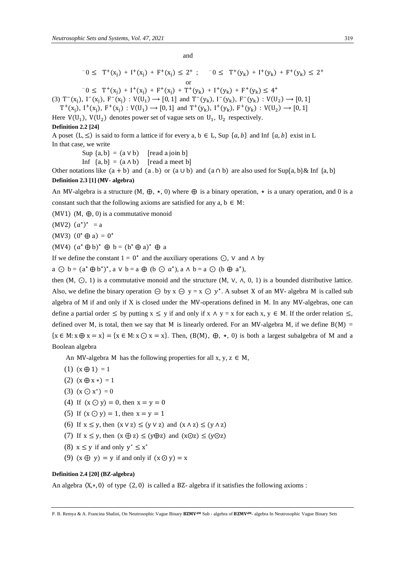and

$$
-0 \leq T^+(x_j) + I^+(x_j) + F^+(x_j) \leq 2^+ ; \quad -0 \leq T^+(y_k) + I^+(y_k) + F^+(y_k) \leq 2^+
$$
  

$$
-0 \leq T^+(x_j) + I^+(x_j) + F^+(x_j) + T^+(y_k) + I^+(y_k) + F^+(y_k) \leq 4^+
$$

 $(x_j)$  $(x_j)$  $(x_j)$ (3)  $T^-(x_j)$ ,  $I^-(x_j)$ ,  $F^-(x_j)$  :  $V(U_1) \rightarrow [0, 1]$  and  $T^-(y_k)$ ,  $I^-(y_k)$ ,  $F^-(y_k)$  :  $V(U_2) \rightarrow [0, 1]$  $T^+(x_j)$ ,  $I^+(x_j)$ ,  $F^+(x_j)$ :  $V(U_1) \rightarrow [0, 1]$  and  $T^+(y_k)$ ,  $I^+(y_k)$ ,  $F^+(y_k)$ :  $V(U_2) \rightarrow [0, 1]$ 

Here  $V(U_1)$ ,  $V(U_2)$  denotes power set of vague sets on  $U_1$ ,  $U_2$  respectively.

#### **Definition 2.2 [24]**

A poset  $(L, \leq)$  is said to form a lattice if for every a,  $b \in L$ , Sup  $\{a, b\}$  and Inf  $\{a, b\}$  exist in L In that case, we write

> Sup  $\{a, b\} = (a \vee b)$  [read a join b] Inf  ${a, b} = (a \wedge b)$  [read a meet b]

Other notations like  $(a + b)$  and  $(a \cdot b)$  or  $(a \cup b)$  and  $(a \cap b)$  are also used for Sup{a, b}& Inf {a, b} **Definition 2.3 [1] (- algebra)**

An MV-algebra is a structure  $(M, \bigoplus, \star, 0)$  where  $\bigoplus$  is a binary operation,  $\star$  is a unary operation, and 0 is a constant such that the following axioms are satisfied for any  $a, b \in M$ :

(MV1) (M,  $\bigoplus$ , 0) is a commutative monoid

 $(MV2)$   $(a^{\star})^{\star}$  = a

(MV3)  $(0^* \oplus a) = 0^*$ 

 $(MV4)$   $(a^* \oplus b)^* \oplus b = (b^* \oplus a)^* \oplus a$ 

If we define the constant  $1 = 0^*$  and the auxiliary operations  $\odot$ ,  $\vee$  and  $\wedge$  by

 $a \odot b = (a^* \oplus b^*)^*$ ,  $a \vee b = a \oplus (b \odot a^*)$ ,  $a \wedge b = a \odot (b \oplus a^*)$ ,

then (M,  $\odot$ , 1) is a commutative monoid and the structure (M,  $\vee$ ,  $\wedge$ , 0, 1) is a bounded distributive lattice. Also, we define the binary operation  $\ominus$  by  $x \ominus y = x \ominus y^*$ . A subset X of an MV- algebra M is called sub algebra of M if and only if X is closed under the MV-operations defined in M. In any MV-algebras, one can define a partial order  $\leq$  by putting  $x \leq y$  if and only if  $x \wedge y = x$  for each  $x, y \in M$ . If the order relation  $\leq$ , defined over M, is total, then we say that M is linearly ordered. For an MV-algebra M, if we define  $B(M)$  =  $\{x \in M: x \oplus x = x\} = \{x \in M: x \odot x = x\}.$  Then,  $(B(M), \bigoplus, \star, 0)$  is both a largest subalgebra of M and a Boolean algebra

An MV-algebra M has the following properties for all x, y,  $z \in M$ ,

- (1)  $(x \oplus 1) = 1$
- (2)  $(x \oplus x^*) = 1$
- (3)  $(x \bigodot x^*) = 0$
- (4) If  $(x \bigcirc y) = 0$ , then  $x = y = 0$
- (5) If  $(x \bigcirc y) = 1$ , then  $x = y = 1$
- (6) If  $x \le y$ , then  $(x \vee z) \le (y \vee z)$  and  $(x \wedge z) \le (y \wedge z)$
- (7) If  $x \leq y$ , then  $(x \oplus z) \leq (y \oplus z)$  and  $(x \odot z) \leq (y \odot z)$
- (8)  $x \leq y$  if and only  $y^* \leq x^*$
- (9)  $(x \oplus y) = y$  if and only if  $(x \odot y) = x$

#### **Definition 2.4 [20] (BZ-algebra)**

An algebra  $(X,*,0)$  of type  $(2,0)$  is called a BZ- algebra if it satisfies the following axioms :

P. B. Remya & A. Francina Shalini, On Neutrosophic Vague Binary BZMV<sup>dM</sup> Sub - algebra of BZMV<sup>dM</sup>- algebra In Neutrosophic Vague Binary Sets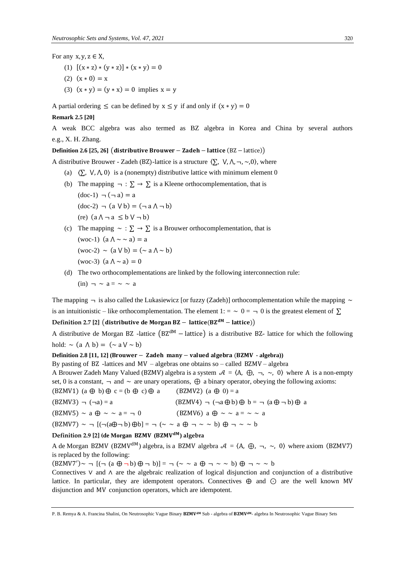For any  $x, y, z \in X$ ,

- (1)  $[(x * z) * (y * z)] * (x * y) = 0$
- (2)  $(x * 0) = x$
- (3)  $(x * y) = (y * x) = 0$  implies  $x = y$

A partial ordering  $\leq$  can be defined by  $x \leq y$  if and only if  $(x * y) = 0$ 

#### **Remark 2.5 [20]**

A weak BCC algebra was also termed as BZ algebra in Korea and China by several authors e.g., X. H. Zhang.

#### **Definition** 2.6 [25, 26] (distributive Brouwer – Zadeh – lattice  $(BZ - lattice)$ )

A distributive Brouwer - Zadeh (BZ)-lattice is a structure  $\langle \sum_{n} V_{n}, \Lambda_{n}, \sim, 0 \rangle$ , where

- (a)  $\langle \sum_{n} V_{n} \rangle$ ,  $\langle \rangle$  is a (nonempty) distributive lattice with minimum element 0
- (b) The mapping  $\neg : \Sigma \to \Sigma$  is a Kleene orthocomplementation, that is  $(doc-1)$   $\neg$   $(\neg a) = a$  $(doc-2)$   $\neg$   $(a \lor b) = (\neg a \land \neg b)$  $(re)$   $(a \land \neg a \leq b \lor \neg b)$ (c) The mapping  $\sim : \Sigma \to \Sigma$  is a Brouwer orthocomplementation, that is
- (woc-1)  $(a \land \sim \sim a) = a$  $(woc-2) \sim (a \vee b) = (\sim a \wedge \sim b)$ (woc-3) (a  $\Lambda \sim a$ ) = 0
- (d) The two orthocomplementations are linked by the following interconnection rule:  $(in) \rightarrow \sim a = \sim \sim a$

The mapping  $\rightarrow$  is also called the Lukasiewicz [or fuzzy (Zadeh)] orthocomplementation while the mapping  $\sim$ is an intuitionistic – like orthocomplementation. The element  $1: \alpha > 0 = \alpha$  of is the greatest element of  $\Sigma$ 

**Definition** 2.7 [2] (distributive de Morgan BZ – lattice( $BZ^{dM}$  – lattice))

A distributive de Morgan BZ -lattice (BZdM − lattice) is a distributive BZ- lattice for which the following hold:  $\sim$  (a  $\land$  b) = ( $\sim$  a V  $\sim$  b)

**Definition** 2.8 [11, 12] (Brouwer – Zadeh many – valued algebra (BZMV - algebra))

By pasting of BZ -lattices and  $MV - algebras$  one obtains so – called BZMV – algebra

A Brouwer Zadeh Many Valued (BZMV) algebra is a system  $A = \langle A, \bigoplus, \neg, \sim, 0 \rangle$  where A is a non-empty set, 0 is a constant,  $\neg$  and  $\sim$  are unary operations,  $\oplus$  a binary operator, obeying the following axioms:

(BZMV1) (a 
$$
\oplus
$$
 b)  $\oplus$  c = (b  $\oplus$  c)  $\oplus$  a (BZMV2) (a  $\oplus$  0) = a

$$
(B Z M V 3) \neg (\neg a) = a \qquad (B Z M V 4) \neg (\neg a \oplus b) \oplus b = \neg (a \oplus \neg b) \oplus a
$$

 $(BZMV5) \sim a \bigoplus \sim a = -10$  (BZMV6)  $a \bigoplus \sim a = -a$ 

 $(BZMV7) \sim \neg$   $[ (\neg (a\oplus \neg b) \oplus b) = \neg ( \sim \sim a \oplus \neg \sim \sim b) \oplus \neg \sim \sim b]$ 

### **Definition** 2.9 [2] (de Morgan BZMV (BZMV<sup>dM</sup>) algebra

A de Morgan BZMV (BZMV<sup>dM</sup>) algebra, is a BZMV algebra  $A = \langle A, \bigoplus, \neg, \sim, 0 \rangle$  where axiom (BZMV7) is replaced by the following:

 $(BZMV7') \sim \neg$   $[(\neg (a \bigoplus \neg b) \bigoplus \neg b)] = \neg (\sim \sim a \bigoplus \neg \sim \sim b) \bigoplus \neg \sim \sim b$ 

Connectives ∨ and ∧ are the algebraic realization of logical disjunction and conjunction of a distributive lattice. In particular, they are idempotent operators. Connectives  $\oplus$  and  $\odot$  are the well known MV disjunction and MV conjunction operators, which are idempotent.

P. B. Remya & A. Francina Shalini, On Neutrosophic Vague Binary BZMV<sup>aM</sup> Sub - algebra of BZMV<sup>aM</sup>- algebra In Neutrosophic Vague Binary Sets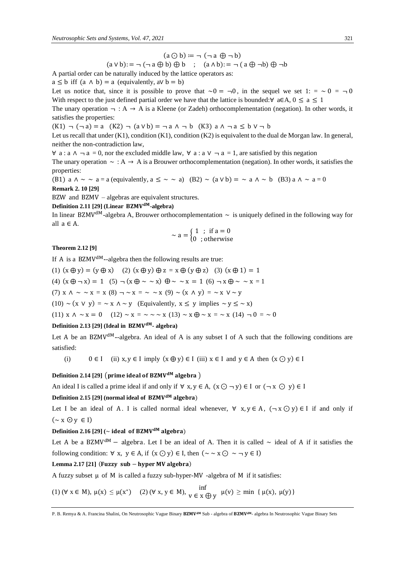$$
(a \bigcirc b) \coloneqq \neg (\neg a \bigoplus \neg b)
$$

$$
(a \lor b) := \neg (\neg a \oplus b) \oplus b \quad ; \quad (a \land b) := \neg (a \oplus \neg b) \oplus \neg b
$$

A partial order can be naturally induced by the lattice operators as:

 $a \leq b$  iff  $(a \land b) = a$  (equivalently,  $a \lor b = b$ )

Let us notice that, since it is possible to prove that  $\sim 0 = -0$ , in the sequel we set 1: =  $\sim 0 = -0$ With respect to the just defined partial order we have that the lattice is bounded:∀ a∈A,  $0 \le a \le 1$ 

The unary operation  $\neg : A \rightarrow A$  is a Kleene (or Zadeh) orthocomplementation (negation). In other words, it satisfies the properties:

 $(K1)$   $\neg$   $(\neg a)$  = a  $(K2)$   $\neg$   $(a \vee b)$  =  $\neg a \wedge \neg b$   $(K3)$  a  $\wedge \neg a \leq b \vee \neg b$ 

Let us recall that under (K1), condition (K1), condition (K2) is equivalent to the dual de Morgan law. In general, neither the non-contradiction law,

 $\forall$  a : a  $\land$  ¬ a = 0, nor the excluded middle law,  $\forall$  a : a  $\lor$  ¬ a = 1, are satisfied by this negation

The unary operation  $\sim$  : A  $\rightarrow$  A is a Brouwer orthocomplementation (negation). In other words, it satisfies the properties:

(B1) a  $\wedge \sim \sim a = a$  (equivalently,  $a \leq \sim \sim a$ ) (B2)  $\sim (a \vee b) = \sim a \wedge \sim b$  (B3) a  $\wedge \sim a = 0$ **Remark 2. 10 [29]** 

BZW and BZMV – algebras are equivalent structures.

### **Definition** 2.11 [29] **(Linear BZMV<sup>dM</sup>-algebra)**

In linear BZMV<sup>dM</sup>-algebra A, Brouwer orthocomplementation  $\sim$  is uniquely defined in the following way for all  $a \in A$ .

$$
\sim a = \begin{cases} 1 \; ; \; \text{if } a = 0 \\ 0 \; ; \text{otherwise} \end{cases}
$$

**Theorem 2.12 [9]** 

If A is a BZMV<sup>dM</sup>--algebra then the following results are true:

(1)  $(x \oplus y) = (y \oplus x)$  (2)  $(x \oplus y) \oplus z = x \oplus (y \oplus z)$  (3)  $(x \oplus 1) = 1$ 

(4)  $(x \oplus \neg x) = 1$  (5)  $\neg (x \oplus \neg x) \oplus \neg x = 1$  (6)  $\neg x \oplus \neg x = 1$ 

(7) x  $\wedge \sim \sim x = x (8)$   $\neg \sim x = \sim \sim x (9) \sim (x \wedge y) = \sim x \vee \sim y$ 

(10) ~ (x  $\vee$  y) = ~ x  $\wedge$  ~ y (Equivalently,  $x \leq y$  implies ~ y  $\leq$  ~ x)

(11)  $x \wedge \sim x = 0$  (12)  $\sim x = \sim \sim x$  (13)  $\sim x \oplus \sim x = \sim x$  (14)  $\neg 0 = \sim 0$ 

### **Definition** 2.13 [29] **(Ideal in BZMV<sup>dM</sup>**- algebra)

Let A be an BZMV<sup>dM</sup>--algebra. An ideal of A is any subset I of A such that the following conditions are satisfied:

(i)  $0 \in I$  (ii)  $x, y \in I$  imply  $(x \oplus y) \in I$  (iii)  $x \in I$  and  $y \in A$  then  $(x \odot y) \in I$ 

### Definition 2.14 [29] (prime ideal of BZMV<sup>dM</sup> algebra)

An ideal I is called a prime ideal if and only if  $\forall x, y \in A$ ,  $(x \odot \neg y) \in I$  or  $(\neg x \odot y) \in I$ 

### **Definition** 2.15 [29] **(normal ideal of BZMV<sup>dM</sup> algebra)**

Let I be an ideal of A. I is called normal ideal whenever,  $\forall x, y \in A$ ,  $(\neg x \bigcirc y) \in I$  if and only if  $(\sim x \odot y \in I)$ 

### **Definition** 2.16 [29]  $(\sim$  **ideal** of BZMV<sup>dM</sup> algebra)

Let A be a BZMV<sup>dM</sup> – algebra. Let I be an ideal of A. Then it is called  $\sim$  ideal of A if it satisfies the following condition:  $\forall x, y \in A$ , if  $(x \odot y) \in I$ , then  $(\sim \sim x \odot \sim \neg y \in I)$ 

#### Lemma  $2.17$   $[21]$  (Fuzzy  $sub$  – hyper MV algebra)

A fuzzy subset  $\mu$  of M is called a fuzzy sub-hyper-MV -algebra of M if it satisfies:

(1)  $(\forall x \in M), \mu(x) \le \mu(x^*)$  (2)  $(\forall x, y \in M), \lim_{V \in X \oplus Y} \mu(v) \ge \min \{ \mu(x), \mu(y) \}$ 

P. B. Remya & A. Francina Shalini, On Neutrosophic Vague Binary BZMV<sup>aM</sup> Sub - algebra of BZMV<sup>aM</sup>- algebra In Neutrosophic Vague Binary Sets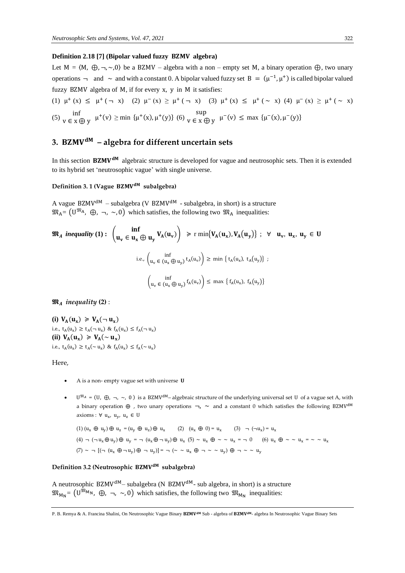#### **Definition 2.18** [7] (Bipolar valued fuzzy **BZMV** algebra)

Let M =  $\langle M, \bigoplus, \neg, \neg, 0 \rangle$  be a BZMV – algebra with a non – empty set M, a binary operation  $\bigoplus$ , two unary operations  $\rightarrow$  and  $\sim$  and with a constant 0. A bipolar valued fuzzy set B =  $(\mu^{-1}, \mu^{+})$  is called bipolar valued fuzzy BZMV algebra of M, if for every x, y in M it satisfies:

(1) 
$$
\mu^+(x) \le \mu^+(-x)
$$
 (2)  $\mu^-(x) \ge \mu^+(-x)$  (3)  $\mu^+(x) \le \mu^+(-x)$  (4)  $\mu^-(x) \ge \mu^+(-x)$   
(5)  $\inf_{V \in X \bigoplus Y} \mu^+(v) \ge \min \{ \mu^+(x), \mu^+(y) \}$  (6)  $\sup_{V \in X \bigoplus Y} \mu^-(v) \le \max \{ \mu^-(x), \mu^-(y) \}$ 

## **3. – algebra for different uncertain sets**

In this section  $BZMV^{dM}$  algebraic structure is developed for vague and neutrosophic sets. Then it is extended to its hybrid set 'neutrosophic vague' with single universe.

#### **Definition 3. 1 (Vague subalgebra)**

A vague BZMV<sup>dM</sup> – subalgebra (V BZMV<sup>dM</sup> - subalgebra, in short) is a structure  $\mathfrak{M}_{A} = (U^{\mathfrak{M}_{A}}, \oplus, \neg, \sim, 0)$  which satisfies, the following two  $\mathfrak{M}_{A}$  inequalities:

$$
\mathfrak{M}_{A} \text{ inequality (1):} \quad \left(\mathbf{u}_{v} \in \mathbf{u}_{x} \oplus \mathbf{u}_{y} \mathbf{V}_{A}(\mathbf{u}_{v})\right) \geq \text{r min}\{V_{A}(\mathbf{u}_{x}), V_{A}(\mathbf{u}_{y})\} ; \quad \forall \quad \mathbf{u}_{v}, \mathbf{u}_{x}, \mathbf{u}_{y} \in \mathbf{U}
$$
\n
$$
\text{i.e.,} \left(\mathbf{u}_{v} \in (\mathbf{u}_{x} \oplus \mathbf{u}_{y}) \mathbf{t}_{A}(\mathbf{u}_{v})\right) \geq \text{min}\left\{\mathbf{t}_{A}(\mathbf{u}_{x}), \mathbf{t}_{A}(\mathbf{u}_{y})\right\} ;
$$
\n
$$
\left(\mathbf{u}_{v} \in (\mathbf{u}_{x} \oplus \mathbf{u}_{y}) \mathbf{f}_{A}(\mathbf{u}_{v})\right) \leq \text{max}\left\{\mathbf{f}_{A}(\mathbf{u}_{x}), \mathbf{f}_{A}(\mathbf{u}_{y})\right\}
$$

 $\mathfrak{M}_A$  *inequality* (2) :

(i)  $V_A(u_x) \ge V_A(\neg u_x)$ i.e.,  $t_A(u_x) \ge t_A(-u_x) \& f_A(u_x) \le f_A(-u_x)$ (ii)  $V_A(u_x) \ge V_A(\sim u_x)$ i.e.,  $t_A(u_x) \ge t_A(\sim u_x) \& f_A(u_x) \le f_A(\sim u_x)$ 

Here,

- A is a non- empty vague set with universe U
- $U^{M_A} = (U, \bigoplus, \neg, \sim, 0)$  is a BZMV<sup>dM</sup>-algebraic structure of the underlying universal set U of a vague set A, with a binary operation  $\oplus$ , two unary operations  $\neg$ ,  $\sim$  and a constant 0 which satisfies the following BZMV<sup>dM</sup> axioms : ∀  $u_x$ ,  $u_y$ ,  $u_z$  ∈ U

$$
(1) (u_x \oplus u_y) \oplus u_z = (u_y \oplus u_z) \oplus u_x \qquad (2) (u_x \oplus 0) = u_x \qquad (3) \qquad (\neg u_x) = u_x
$$
\n
$$
(4) \qquad (\neg u_x \oplus u_y) \oplus u_y = \neg (u_x \oplus \neg u_y) \oplus u_x \qquad (5) \sim u_x \oplus \sim \sim u_x = \neg 0 \qquad (6) u_x \oplus \sim \sim u_x = \sim \sim u_x
$$
\n
$$
(7) \sim \neg [( \neg (u_x \oplus \neg u_y) \oplus \neg u_y)] = \neg (\sim \sim u_x \oplus \sim \sim u_y) \oplus \sim \sim u_y
$$

### **Definition 3.2 (Neutrosophic subalgebra)**

A neutrosophic BZMV<sup>dM</sup>– subalgebra (N BZMV<sup>dM</sup>- sub algebra, in short) is a structure  $\mathfrak{M}_{M_N}$  =  $(U^{\mathfrak{M}_{M_N}}$ ,  $\oplus$ ,  $\neg$ ,  $\sim$ , 0) which satisfies, the following two  $\mathfrak{M}_{M_N}$  inequalities:

P. B. Remya & A. Francina Shalini, On Neutrosophic Vague Binary BZMV<sup>aM</sup> Sub - algebra of BZMV<sup>aM</sup>- algebra In Neutrosophic Vague Binary Sets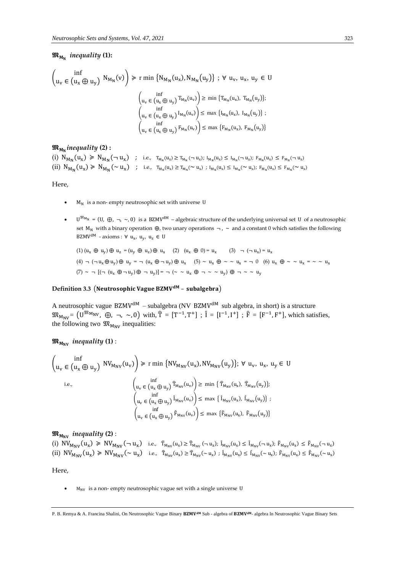### *inequality* **(1):**

$$
\begin{pmatrix}\n\inf \\
u_v \in (u_x \oplus u_y) \quad N_{M_N}(v)\n\end{pmatrix} \ge r \min \{N_{M_N}(u_x), N_{M_N}(u_y)\} \; ; \; \forall \; u_v, \; u_x, \; u_y \in U
$$
\n
$$
\begin{pmatrix}\n\inf \\
u_v \in (u_x \oplus u_y) \quad T_{M_N}(u_v)\n\end{pmatrix} \ge \min \{T_{M_N}(u_x), \, T_{M_N}(u_y)\};
$$
\n
$$
\begin{pmatrix}\n\inf \\
u_v \in (u_x \oplus u_y) \quad I_{M_N}(u_v)\n\end{pmatrix} \le \max \{I_{M_N}(u_x), \, I_{M_N}(u_y)\} \; ;
$$
\n
$$
\begin{pmatrix}\n\inf \\
u_v \in (u_x \oplus u_y) \quad F_{M_N}(u_v)\n\end{pmatrix} \le \max \{F_{M_N}(u_x), \, F_{M_N}(u_y)\}
$$

### *inequality* **(2) :**

(i)  $N_{M_N}(u_x) \ge N_{M_N}(\neg u_x)$  ; i.e.,  $T_{M_N}(u_x) \ge T_{M_N}(\neg u_x)$ ;  $I_{M_N}(u_x) \le I_{M_N}(\neg u_x)$ ;  $F_{M_N}(u_x) \le F_{M_N}(\neg u_x)$ (ii)  $N_{M_N}(u_x) \ge N_{M_N}(\sim u_x)$  ; i.e.,  $T_{M_N}(u_x) \ge T_{M_N}(\sim u_x)$ ;  $I_{M_N}(u_x) \le I_{M_N}(\sim u_x)$ ;  $F_{M_N}(u_x) \le F_{M_N}(\sim u_x)$ 

Here,

- $M_N$  is a non- empty neutrosophic set with universe U
- $U^{\mathfrak{M}_{\mathsf{M}_{\mathsf{N}}}} = (U, \oplus, \neg, \sim, 0)$  is a BZMV<sup>dM</sup> algebraic structure of the underlying universal set U of a neutrosophic set M<sub>N</sub> with a binary operation  $\oplus$ , two unary operations  $\neg$ ,  $\sim$  and a constant 0 which satisfies the following BZMV<sup>dM</sup> - axioms :  $\forall$  u<sub>x</sub>, u<sub>y</sub>, u<sub>z</sub>  $\in$  U

$$
(1) (u_x \oplus u_y) \oplus u_z = (u_y \oplus u_z) \oplus u_x \quad (2) (u_x \oplus 0) = u_x \quad (3) \neg (\neg u_x) = u_x
$$
\n
$$
(4) \neg (\neg u_x \oplus u_y) \oplus u_y = \neg (u_x \oplus \neg u_y) \oplus u_x \quad (5) \sim u_x \oplus \sim \sim u_x = \neg 0 \quad (6) u_x \oplus \sim \sim u_x = \sim \sim u_x
$$
\n
$$
(7) \sim \neg [( \neg (u_x \oplus \neg u_y) \oplus \neg u_y)] = \neg (\sim \sim u_x \oplus \sim \sim u_y) \oplus \sim \sim u_y
$$

### Definition 3.3 (Neutrosophic Vague BZMV<sup>dM</sup> - subalgebra)

A neutrosophic vague BZMV<sup>dM</sup> – subalgebra (NV BZMV<sup>dM</sup> sub algebra, in short) is a structure  $\mathfrak{M}_{M_{\text{NV}}} = (\mathbf{U}^{\mathfrak{M}_{\text{MV}}}, \oplus, \neg, \sim, 0)$  with,  $\hat{\mathbf{T}} = [\mathbf{T}^{-1}, \mathbf{T}^{+}]$ ;  $\hat{\mathbf{I}} = [\mathbf{I}^{-1}, \mathbf{I}^{+}]$ ;  $\hat{\mathbf{F}} = [\mathbf{F}^{-1}, \mathbf{F}^{+}]$ , which satisfies, the following two  $\mathfrak{M}_{M_{\text{NV}}}$  inequalities:

### $\mathfrak{M}_{M_{\text{NV}}}$  inequality **(1)** :

$$
\begin{aligned}\n\left(\inf_{u_{v}\in\left(u_{x}\oplus u_{y}\right)}\,\mathrm{NV}_{M_{\mathrm{NV}}}(u_{v})\right) &\geq \mathrm{r}\min\,\left\{\mathrm{NV}_{M_{\mathrm{NV}}}(u_{x}),\mathrm{NV}_{M_{\mathrm{NV}}}(u_{y})\right\};\;\forall\ u_{v},\;u_{x},\;u_{y}\in\mathrm{U} \\
\mathrm{i.e.,} &\left(\inf_{u_{v}\in\left(u_{x}\oplus u_{y}\right)}\widehat{T}_{M_{\mathrm{NV}}}(u_{v})\right)\geq \mathrm{min}\,\left\{\widehat{T}_{M_{\mathrm{NV}}}(u_{x}),\,\widehat{T}_{M_{\mathrm{NV}}}(u_{y})\right\};\right. \\
&\left.\left(\inf_{u_{v}\in\left(u_{x}\oplus u_{y}\right)}\widehat{I}_{M_{\mathrm{NV}}}(u_{v})\right)\leq \mathrm{max}\,\left\{\widehat{I}_{M_{\mathrm{NV}}}(u_{x}),\,\widehat{I}_{M_{\mathrm{NV}}}(u_{y})\right\};\right. \\
&\left.\left(\inf_{u_{v}\in\left(u_{x}\oplus u_{y}\right)}\widehat{F}_{M_{\mathrm{NV}}}(u_{v})\right)\leq \mathrm{max}\,\left\{\widehat{F}_{M_{\mathrm{NV}}}(u_{x}),\,\widehat{F}_{M_{\mathrm{NV}}}(u_{y})\right\}\right.\n\end{aligned}
$$

 $\mathfrak{M}_{M_{\text{NV}}}$  *inequality* (2) :

(i)  $\text{NV}_{M_{\text{NV}}}(u_x) \ge \text{NV}_{M_{\text{NV}}}(\neg u_x)$  i.e.,  $\hat{T}_{M_{\text{NV}}}(u_x) \ge \hat{T}_{M_{\text{NV}}}(\neg u_x)$ ;  $\hat{I}_{M_{\text{NV}}}(\neg u_x)$ ;  $\hat{F}_{M_{\text{NV}}}(u_x) \le \hat{F}_{M_{\text{NV}}}(\neg u_x)$ (ii)  $\text{NV}_{M_{\text{NV}}}(u_x) \ge \text{NV}_{M_{\text{NV}}}(\sim u_x)$  i.e.,  $\hat{T}_{M_{\text{NV}}}(u_x) \ge \hat{T}_{M_{\text{NV}}}(\sim u_x)$ ;  $\hat{I}_{M_{\text{NV}}} (u_x) \le \hat{I}_{M_{\text{NV}}}(\sim u_x)$ ;  $\hat{F}_{M_{\text{NV}}} (u_x) \le \hat{F}_{M_{\text{NV}}}(\sim u_x)$ 

Here,

 $M_{\text{NV}}$  is a non- empty neutrosophic vague set with a single universe U

P. B. Remya & A. Francina Shalini, On Neutrosophic Vague Binary BZMV<sup>aM</sup> Sub - algebra of BZMV<sup>aM</sup>- algebra In Neutrosophic Vague Binary Sets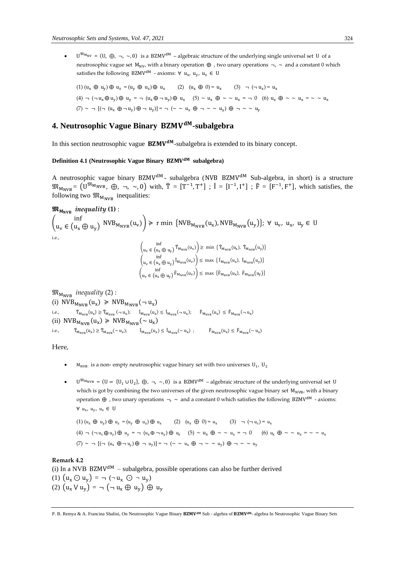•  $U^{\mathfrak{M}_{\mathsf{M}_{\mathsf{N}}}} = (U, \oplus, \neg, \sim, 0)$  is a BZMV<sup>dM</sup> – algebraic structure of the underlying single universal set U of a neutrosophic vague set  $M_{\text{NV}}$ , with a binary operation  $\oplus$ , two unary operations  $\neg$ ,  $\sim$  and a constant 0 which satisfies the following BZMV<sup>dM</sup> - axioms: ∀ u<sub>x</sub>, u<sub>y</sub>, u<sub>z</sub> ∈ U

$$
(1) (u_x \oplus u_y) \oplus u_z = (u_y \oplus u_z) \oplus u_x \qquad (2) (u_x \oplus 0) = u_x \qquad (3) \neg (\neg u_x) = u_x
$$
\n
$$
(4) \neg (\neg u_x \oplus u_y) \oplus u_y = \neg (u_x \oplus \neg u_y) \oplus u_x \qquad (5) \sim u_x \oplus \sim \sim u_x = \neg 0 \qquad (6) u_x \oplus \sim \sim u_x = \sim \sim u_x
$$
\n
$$
(7) \sim \neg [( \neg (u_x \oplus \neg u_y) \oplus \neg u_y)] = \neg (\sim \sim u_x \oplus \sim \sim u_y) \oplus \sim \sim \sim u_y
$$

### 4. Neutrosophic Vague Binary BZMV<sup>dM</sup>-subalgebra

In this section neutrosophic vague  $BZMV^{dM}$ -subalgebra is extended to its binary concept.

### **Definition 4.1 (Neutrosophic Vague Binary subalgebra)**

A neutrosophic vague binary BZMV<sup>dM</sup> - subalgebra (NVB BZMV<sup>dM</sup> Sub-algebra, in short) is a structure  $\mathfrak{M}_{M_{\text{NVB}}} = (\mathbf{U}^{\mathfrak{M}_{\text{MVB}}}, \oplus, \neg, \sim, 0)$  with,  $\hat{\mathbf{T}} = [\mathbf{T}^{-1}, \mathbf{T}^{+}]$ ;  $\hat{\mathbf{I}} = [\mathbf{I}^{-1}, \mathbf{I}^{+}]$ ;  $\hat{\mathbf{F}} = [\mathbf{F}^{-1}, \mathbf{F}^{+}]$ , which satisfies, the following two  $\mathfrak{M}_{M_{\text{NVB}}}$  inequalities:

$$
\mathfrak{M}_{M_{\text{NVB}}} \text{ inequality (1):}
$$

 $\int_{\mathbf{u}}$   $\in$   $\int_{\mathbf{u}}$  $u_v \in (u_x \oplus u_y)$  NVB<sub>MNVB</sub> $(u_v)$   $\ge$  r min {NVB<sub>MNVB</sub> $(u_x)$ , NVB<sub>MNVB</sub> $(u_y)$ };  $\forall$   $u_y$ ,  $u_x$ ,  $u_y \in U$ i.e., inf

$$
\left(\begin{matrix} \mathbf{u}_{v} \in (\mathbf{u}_{x} \oplus \mathbf{u}_{y}) \mathbf{\hat{T}}_{M_{\text{NVB}}}(\mathbf{u}_{v}) \end{matrix}\right) \ge \text{min} \left\{\mathbf{\hat{T}}_{M_{\text{NVB}}}(\mathbf{u}_{x}), \mathbf{\hat{T}}_{M_{\text{NVB}}}(\mathbf{u}_{y})\right\} \n\left(\begin{matrix} \mathbf{u}_{v} \in (\mathbf{u}_{x} \oplus \mathbf{u}_{y}) \mathbf{\hat{I}}_{M_{\text{NVB}}}(\mathbf{u}_{v}) \end{matrix}\right) \le \text{max} \left\{\mathbf{\hat{I}}_{M_{\text{NVB}}}(\mathbf{u}_{x}), \mathbf{\hat{I}}_{M_{\text{NVB}}}(\mathbf{u}_{y})\right\} \n\left(\begin{matrix} \mathbf{u}_{v} \in (\mathbf{u}_{x} \oplus \mathbf{u}_{y}) \mathbf{\hat{F}}_{M_{\text{NVB}}}(\mathbf{u}_{v}) \end{matrix}\right) \le \text{max} \left\{\mathbf{\hat{F}}_{M_{\text{NVB}}}(\mathbf{u}_{x}), \mathbf{\hat{F}}_{M_{\text{NVB}}}(\mathbf{u}_{y})\right\}
$$

 $\mathfrak{M}_{M_{\text{NVR}}}$  *inequality* (2) : (i)  $NVB_{M_{NVB}}(u_x) \geq NVB_{M_{NVB}}(\neg u_x)$  $\label{eq:ineq} \begin{aligned} \text{i.e.,} \qquad & \quad \widehat{\mathbf{T}}_{\mathsf{M}_{\text{NVB}}}(\mathbf{u}_{\mathsf{x}}) \geq \widehat{\mathbf{T}}_{\mathsf{M}_{\text{NVB}}}(-\mathbf{u}_{\mathsf{x}}); \quad & \quad \widehat{\mathbf{I}}_{\mathsf{M}_{\text{NVB}}}(\mathbf{u}_{\mathsf{x}}) \leq \ \widehat{\mathbf{I}}_{\mathsf{M}_{\text{NVB}}}(-\mathbf{u}_{\mathsf{x}}); \quad & \quad \widehat{\mathbf{F}}_{\mathsf{M}_{\text{NVB}}}(\mathbf{u}_{\mathsf{x}}) \leq \ \widehat{\$ (ii)  $NVB_{M_{NVB}}(u_x) \geq NVB_{M_{NVB}}(\sim u_x)$ i.e.,  $\hat{T}_{M_{\text{NVB}}}(u_x) \ge \hat{T}_{M_{\text{NVB}}}(\sim u_x); \qquad \hat{I}_{M_{\text{NVB}}}(u_x) \le \hat{I}_{M_{\text{NVB}}}(\sim u_x); \qquad \hat{F}_{M_{\text{NVB}}}(u_x) \le \hat{F}_{M_{\text{NVB}}}(\sim u_x)$ 

Here,

- $M_{\text{NVB}}$  is a non-empty neutrosophic vague binary set with two universes  $U_1$ ,  $U_2$
- $\bullet$   $\Box^{\mathfrak{M}_{\text{MNFB}}} = (\mathbb{U} = {\mathbb{U}_1 \cup \mathbb{U}_2}, \oplus, \neg, \sim, 0)$  is a BZMV<sup>dM</sup> algebraic structure of the underlying universal set U which is got by combining the two universes of the given neutrosophic vague binary set M<sub>NVB</sub>, with a binary operation  $\oplus$ , two unary operations  $\neg$ ,  $\sim$  and a constant 0 which satisfies the following BZMV<sup>dM</sup> - axioms:  $\forall$  u<sub>x</sub>, u<sub>y</sub>, u<sub>z</sub> ∈ U

$$
(1) (u_x \oplus u_y) \oplus u_z = (u_y \oplus u_z) \oplus u_x \qquad (2) (u_x \oplus 0) = u_x \qquad (3) \neg (\neg u_x) = u_x
$$
\n
$$
(4) \neg (\neg u_x \oplus u_y) \oplus u_y = \neg (u_x \oplus \neg u_y) \oplus u_x \qquad (5) \sim u_x \oplus \sim \sim u_x = \neg 0 \qquad (6) u_x \oplus \sim \sim u_x = \sim \sim u_x
$$
\n
$$
(7) \sim \neg [(\neg (u_x \oplus \neg u_y) \oplus \neg u_y)] = \neg (\sim \sim u_x \oplus \sim \sim u_y) \oplus \sim \sim u_y
$$

### **Remark 4.2**

(i) In a NVB BZMV<sup>dM</sup> – subalgebra, possible operations can also be further derived (1)  $(u_x \odot u_y) = \neg (\neg u_x \odot \neg u_y)$ (2)  $(u_x \vee u_y) = \neg (\neg u_x \oplus u_y) \oplus u_y$ 

P. B. Remya & A. Francina Shalini, On Neutrosophic Vague Binary BZMV<sup>aM</sup> Sub - algebra of BZMV<sup>aM</sup>- algebra In Neutrosophic Vague Binary Sets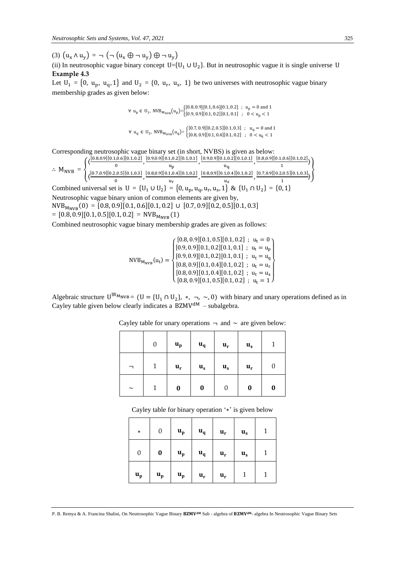(3)  $(u_x \wedge u_y) = \neg (\neg (u_x \oplus \neg u_y) \oplus \neg u_y)$ 

(ii) In neutrosophic vague binary concept  $U = \{U_1 \cup U_2\}$ . But in neutrosophic vague it is single universe U **Example 4.3** 

Let  $U_1 = \{0, u_p, u_q, 1\}$  and  $U_2 = \{0, u_r, u_s, 1\}$  be two universes with neutrosophic vague binary membership grades as given below:

 $\forall u_p \in U_1$ ,  $NVB_{M_{NVB}}(u_p) = \begin{cases} [0.8, 0.9][0.1, 0.6][0.1, 0.2] ; u_p = 0 \text{ and } 1 \\ [0.9, 0.9][0.1, 0.2][0.1, 0.1] : 0 \le u_p \le 1 \end{cases}$  $[0.9, 0.9][0.1, 0.2][0.1, 0.1]$ ;  $0 < u_p < 1$  $\forall$  u<sub>q</sub> ∈ U<sub>2</sub>, NVB<sub>M<sub>NVB</sub>(u<sub>q</sub>) = {[0.7, 0.9][0.2, 0.5][0.1, 0.3]; u<sub>q</sub> = 0 and 1</sub>  $[0.8, 0.9][0.1, 0.4][0.1, 0.2]$ ;  $0 < u<sub>q</sub> < 1$ 

Corresponding neutrosophic vague binary set (in short, NVBS) is given as below:

$$
\therefore M_{NVB} = \left\{ \frac{\left\langle \frac{[0.8,0.9][0.1,0.6][0.1,0.2]}{0}, \frac{[0.9,0.9][0.1,0.2][0.1,0.1]}{u_{p}}, \frac{[0.9,0.9][0.1,0.2][0.1,0.1]}{u_{q}}, \frac{[0.9,0.9][0.1,0.2][0.1,0.1]}{u_{q}}, \frac{[0.8,0.9][0.1,0.6][0.1,0.2]}{1} \right\}} \right\}
$$

 $\left\langle \frac{[0.7,0.9][0.2,0.5][0.1,0.3]}{0.2,0.5\right\rangle}$ 0 , [0.8,0.9][0.1,0.4][0.1,0.2]  $\frac{1,0.4|[0.1,0.2]}{u_r}, \frac{[0.8,0.9][0.1,0.4][0.1,0.2]}{u_s}$  $\frac{1,0.4|[0.1,0.2]}{u_s}, \frac{[0.7,0.9][0.2,0.5][0.1,0.3]}{1}$  $\left\langle \frac{(0.5)(0.1,0.5)}{1} \right\rangle$ Combined universal set is  $U = \{U_1 \cup U_2\} = \{0, u_p, u_q, u_r, u_s, 1\} \& \{U_1 \cap U_2\} = \{0, 1\}$ Neutrosophic vague binary union of common elements are given by,

 $NVB_{M_{NVR}}(0) = [0.8, 0.9][0.1, 0.6][0.1, 0.2] \cup [0.7, 0.9][0.2, 0.5][0.1, 0.3]$ 

 $=[0.8, 0.9][0.1, 0.5][0.1, 0.2] = NVB<sub>MNVR</sub>(1)$ 

Combined neutrosophic vague binary membership grades are given as follows:

$$
NVB_{M_{NVB}}(u_t) = \begin{cases} [0.8, 0.9][0.1, 0.5][0.1, 0.2] ; u_t = 0 \\ [0.9, 0.9][0.1, 0.2][0.1, 0.1] ; u_t = u_p \\ [0.9, 0.9][0.1, 0.2][0.1, 0.1] ; u_t = u_q \\ [0.8, 0.9][0.1, 0.4][0.1, 0.2] ; u_t = u_r \\ [0.8, 0.9][0.1, 0.4][0.1, 0.2] ; u_t = u_s \\ [0.8, 0.9][0.1, 0.5][0.1, 0.2] ; u_t = 1 \end{cases}
$$

Algebraic structure  $U^{\mathfrak{M}}$  NVB =  $(U = {U_1 \cap U_2}$ , \*,  $\neg$ ,  $\sim$ , 0) with binary and unary operations defined as in Cayley table given below clearly indicates a  $BZMV^{dM}$  – subalgebra.

|        | $\boldsymbol{0}$ | $\mathbf{u}_{\mathbf{p}}$ | $\mathbf{u}_{q}$ | $\mathbf{u}_{\mathbf{r}}$ | $\mathbf{u}_{\mathbf{s}}$ |   |
|--------|------------------|---------------------------|------------------|---------------------------|---------------------------|---|
|        | 1                | $\mathbf{u}_\mathbf{r}$   | $\mathbf{u}_s$   | $\mathbf{u}_{s}$          | $\mathbf{u}_{\mathbf{r}}$ |   |
| $\sim$ | 1                | $\bf{0}$                  | 0                | 0                         | 0                         | 0 |

| Cayley table for unary operations $\neg$ and $\sim$ are given below: |  |  |  |
|----------------------------------------------------------------------|--|--|--|
|----------------------------------------------------------------------|--|--|--|

Cayley table for binary operation '∗' is given below

| $\ast$                    | 0                         | $\mathbf{u}_{\mathbf{p}}$ | $\mathbf{u}_{\mathbf{q}}$ | $\mathbf{u}_\mathbf{r}$ | $\mathbf{u}_{\mathbf{s}}$ |  |
|---------------------------|---------------------------|---------------------------|---------------------------|-------------------------|---------------------------|--|
| $\boldsymbol{0}$          | $\boldsymbol{0}$          | $\mathbf{u}_{\mathbf{p}}$ | $\mathbf{u}_{\mathbf{q}}$ | $\mathbf{u}_\mathbf{r}$ | $\mathbf{u}_{\mathbf{s}}$ |  |
| $\mathbf{u}_{\mathbf{p}}$ | $\mathbf{u}_{\mathbf{p}}$ | $\mathbf{u}_{\mathbf{p}}$ | $\mathbf{u}_\mathbf{r}$   | $\mathbf{u}_\mathbf{r}$ |                           |  |

P. B. Remya & A. Francina Shalini, On Neutrosophic Vague Binary BZMV<sup>aM</sup> Sub - algebra of BZMV<sup>aM</sup>- algebra In Neutrosophic Vague Binary Sets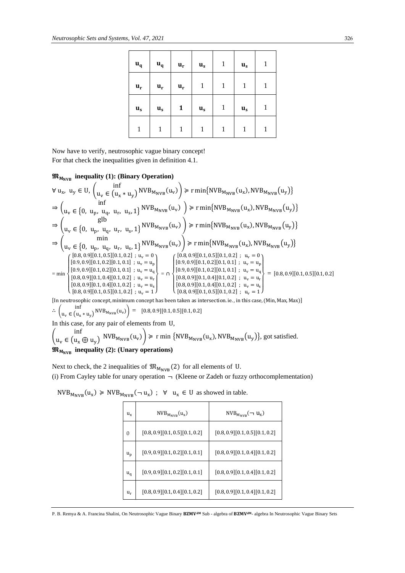| $\mathbf{u}_{\mathbf{q}}$ | $u_q$                     | $\mathbf{u}_\mathbf{r}$ | $\mathbf{u}_{\mathbf{s}}$ | $\mathbf{1}$ | $\mathbf{u}_{\mathbf{s}}$ | 1 |
|---------------------------|---------------------------|-------------------------|---------------------------|--------------|---------------------------|---|
| $\mathbf{u}_\mathbf{r}$   | $u_r$                     | $\mathbf{u}_\mathbf{r}$ | 1                         | $\mathbf{1}$ | $\mathbf{1}$              | 1 |
| $\mathbf{u}_{\mathbf{s}}$ | $\mathbf{u}_{\mathbf{s}}$ | 1                       | $\mathbf{u}_{\mathbf{s}}$ | $\mathbf{1}$ | $\mathbf{u}_{\mathbf{s}}$ | 1 |
| $\mathbf{1}$              | $\mathbf{1}$              | 1                       | 1                         | $\mathbf 1$  | 1                         | 1 |

Now have to verify, neutrosophic vague binary concept! For that check the inequalities given in definition 4.1.

### $\mathfrak{M}_{M_{NVR}}$  **inequality (1): (Binary Operation)**

 $\forall$  u<sub>x</sub>, u<sub>y</sub>  $\in$  U,  $\left(\begin{array}{cc} \inf \\ u \\ \in \{0\} \end{array}\right)$  $u_v \in (u_x * u_y)$  NVB<sub>MNVB</sub> $(u_v)$   $\ge$  r min{NVB<sub>MNVB</sub> $(u_x)$ , NVB<sub>MNVB</sub> $(u_y)$ }  $\Rightarrow$   $\begin{pmatrix} 1 & \sin \theta \\ 0 & \sin \theta \end{pmatrix}$  $u_v \in \{0, u_p, u_q, u_r, u_s, 1\}^{NVB_{M_{NVB}}(u_v)} \geq r \min\{NVB_{M_{NVB}}(u_x), NVB_{M_{NVB}}(u_y)\}$ ⇒ ( glb  $u_v \in \{0, u_p, u_q, u_r, u_s, 1\}^{NVB_{M_{NVB}}(u_v)} \geqslant r \min\{NVB_{M_{NVB}}(u_x), NVB_{M_{NVB}}(u_y)\}$  $\Rightarrow$   $\begin{pmatrix} \text{min} \\ \text{min} \\ \text{min} \end{pmatrix}$  $u_v \in \{0, u_p, u_q, u_r, u_s, 1\}^{NVB_{M_{NVB}}(u_v)} \geqslant r \min\{NVB_{M_{NVB}}(u_x), NVB_{M_{NVB}}(u_y)\}$  $=$  min  $\left[0.8, 0.9\right][0.1, 0.5][0.1, 0.2]$ ;  $u_v = 1$  $\overline{1}$  $\mathbf{I}$  $(0.9, 0.9][0.1, 0.2][0.1, 0.1]$ ;  $u_v = u_q$  $[0.9, 0.9][0.1, 0.2][0.1, 0.1]$ ;  $u_v = u_p$  $[0.8, 0.9][0.1, 0.5][0.1, 0.2]$ ;  $u_v = 0$ <br> $[0.9, 0.9]$  $[0.1, 0.2]$  $[0.1, 0.1]$ ;  $u_v = v$  $[0.8, 0.9][0.1, 0.4][0.1, 0.2]$ ;  $u_v = u_r$  $[0.8, 0.9][0.1, 0.4][0.1, 0.2]$ ;  $u_v = u_s$  $\overline{1}$  $\overline{1}$ = ∩ \  $\mathbf{I}$  $\overline{1}$  $\mathbf{I}$  $\begin{bmatrix} [0.8, 0.9][0.1, 0.5][0.1, 0.2] \\ [0.9, 0.9][0.1, 0.2][0.1, 0.1] \\ \end{bmatrix}$  $[0.9, 0.9][0.1, 0.2][0.1, 0.1]$ ;  $u_v = u_p$  $[0.9, 0.9][0.1, 0.2][0.1, 0.1]$ ;  $u_v = u_q$  $[0.8, 0.9][0.1, 0.4][0.1, 0.2]$ ;  $u_v = u_r$  $[0.8, 0.9][0.1, 0.4][0.1, 0.2]$ ;  $u_v = u_s$  $[0.8, 0.9][0.1, 0.5][0.1, 0.2]$ ;  $u_v = 1$  $\mathbf{I}$  $\overline{1}$  $\mathbf{I}$  $\mathbf{I}$  $=[0.8, 0.9][0.1, 0.5][0.1, 0.2]$ 

[In neutrosophic concept, minimum concept has been taken as intersection. ie. , in this case, (Min, Max, Max)] ∴  $\begin{pmatrix} \text{inf} \\ \text{u} \in \text{u} \end{pmatrix}$  $u_v \in (u_x * u_y)$  NVB<sub>MNVB</sub> $(u_v)$  = [0.8, 0.9][0.1, 0.5][0.1, 0.2] In this case, for any pair of elements from U,

 $\cdot \cdot \cdot$ 

$$
\begin{pmatrix}\n\text{III} \\
u_v \in (u_x \oplus u_y) \quad \text{NVB}_{M_{\text{NVB}}}(u_v)\n\end{pmatrix} \ge r \min \{ \text{NVB}_{M_{\text{NVB}}}(u_x), \text{NVB}_{M_{\text{NVB}}}(u_y) \}, \text{got satisfied.}
$$
\n
$$
\mathbf{\mathfrak{M}}_{M_{\text{NVB}}} \text{ inequality (2): (Unary operations)}
$$

Next to check, the 2 inequalities of  $\mathfrak{M}_{M_{\text{NVB}}}(2)$  for all elements of U. (i) From Cayley table for unary operation  $\neg$  (Kleene or Zadeh or fuzzy orthocomplementation)

| $u_{x}$  | $NVB_{M_{NVR}}(u_x)$           | $NVB_{M_{NVB}} (\neg u_x)$     |
|----------|--------------------------------|--------------------------------|
| $\theta$ | [0.8, 0.9][0.1, 0.5][0.1, 0.2] | [0.8, 0.9][0.1, 0.5][0.1, 0.2] |
| $u_p$    | [0.9, 0.9][0.1, 0.2][0.1, 0.1] | [0.8, 0.9][0.1, 0.4][0.1, 0.2] |
| $u_q$    | [0.9, 0.9][0.1, 0.2][0.1, 0.1] | [0.8, 0.9][0.1, 0.4][0.1, 0.2] |
| $u_r$    | [0.8, 0.9][0.1, 0.4][0.1, 0.2] | [0.8, 0.9][0.1, 0.4][0.1, 0.2] |

 $NVB_{M_{NVB}}(u_x) \geq NVB_{M_{NVB}}(\neg u_x)$ ;  $\forall u_x \in U$  as showed in table.

P. B. Remya & A. Francina Shalini, On Neutrosophic Vague Binary BZMV<sup>aM</sup> Sub - algebra of BZMV<sup>aM</sup>- algebra In Neutrosophic Vague Binary Sets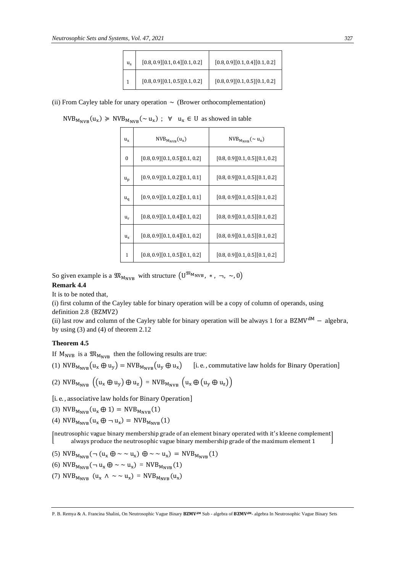| $u_{s}$ | $[0.8, 0.9][0.1, 0.4][0.1, 0.2]$   | [0.8, 0.9][0.1, 0.4][0.1, 0.2]     |
|---------|------------------------------------|------------------------------------|
|         | $[0.8, 0.9] [0.1, 0.5] [0.1, 0.2]$ | $[0.8, 0.9] [0.1, 0.5] [0.1, 0.2]$ |

(ii) From Cayley table for unary operation  $\sim$  (Brower orthocomplementation)

 $NVB_{M_{NVB}}(u_x) \geq NVB_{M_{NVB}}(\sim u_x)$ ;  $\forall$   $u_x \in U$  as showed in table

| $u_{x}$     | $NVB_{M_{NVR}}(u_x)$           | $NVB_{M_{NVB}} (\sim u_x)$     |
|-------------|--------------------------------|--------------------------------|
| $\theta$    | [0.8, 0.9][0.1, 0.5][0.1, 0.2] | [0.8, 0.9][0.1, 0.5][0.1, 0.2] |
| $u_{\rm p}$ | [0.9, 0.9][0.1, 0.2][0.1, 0.1] | [0.8, 0.9][0.1, 0.5][0.1, 0.2] |
| $u_{q}$     | [0.9, 0.9][0.1, 0.2][0.1, 0.1] | [0.8, 0.9][0.1, 0.5][0.1, 0.2] |
| $u_r$       | [0.8, 0.9][0.1, 0.4][0.1, 0.2] | [0.8, 0.9][0.1, 0.5][0.1, 0.2] |
| $u_{s}$     | [0.8, 0.9][0.1, 0.4][0.1, 0.2] | [0.8, 0.9][0.1, 0.5][0.1, 0.2] |
| 1           | [0.8, 0.9][0.1, 0.5][0.1, 0.2] | [0.8, 0.9][0.1, 0.5][0.1, 0.2] |

So given example is a  $\mathfrak{M}_{M_{\text{NVB}}}$  with structure  $(U^{\mathfrak{M}_{M_{\text{NVB}}}}$ , \*,  $\neg$ ,  $\sim$ , 0)

### **Remark 4.4**

It is to be noted that,

(i) first column of the Cayley table for binary operation will be a copy of column of operands, using definition 2.8 (BZMV2)

(ii) last row and column of the Cayley table for binary operation will be always 1 for a BZMVdM − algebra, by using (3) and (4) of theorem 2.12

#### **Theorem 4.5**

If  $M_{\text{NVB}}$  is a  $\mathfrak{M}_{M_{\text{NVB}}}$  then the following results are true:

(1) NVB<sub>MNVB</sub> 
$$
(u_x \oplus u_y)
$$
 = NVB<sub>MNVB</sub>  $(u_y \oplus u_x)$  [i.e., commutative law holds for Binary Operation]

(2) NVB<sub>MNVB</sub> 
$$
\left( (u_x \oplus u_y) \oplus u_z \right) = NVB_{M_{NVB}} \left( u_x \oplus (u_y \oplus u_z) \right)
$$

[i. e., associative law holds for Binary Operation]

(3) NVB<sub>MNVB</sub>
$$
(u_x \oplus 1) = NVB_{M_{NVB}}(1)
$$

(4)  $NVB_{M_{NVB}}(u_x \oplus \neg u_x) = NVB_{M_{NVB}}(1)$ 

[ neutrosophic vague binary membership grade of an element binary operated with it ′ s kleene complement ] always produce the neutrosophic vague binary membership grade of the maximum element 1

(5) NVB<sub>MNVB</sub> (
$$
\neg (u_x \oplus \sim \sim u_x) \oplus \sim \sim u_x
$$
) = NVB<sub>MNVB</sub>(1)

$$
(6) NVB_{M_{\text{NVB}}}(-u_x \oplus \sim u_x) = NVB_{M_{\text{NVB}}}(1)
$$

(7)  $NVB_{M_{NVB}} (u_x \wedge \sim \sim u_x) = NVB_{M_{NVB}} (u_x)$ 

P. B. Remya & A. Francina Shalini, On Neutrosophic Vague Binary BZMV<sup>aM</sup> Sub - algebra of BZMV<sup>aM</sup>- algebra In Neutrosophic Vague Binary Sets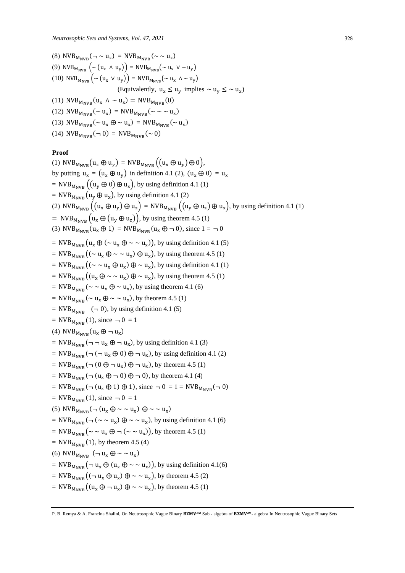(8)  $NVB_{M_{NVB}}(- \sim u_x) = NVB_{M_{NVB}}(\sim \sim u_x)$ (9) NVB<sub>MNVB</sub>  $(\sim (u_x \land u_y))$  = NVB<sub>MNVB</sub> ( $\sim u_x$  V  $\sim u_y$ ) (10) NVB<sub>M<sub>NVB</sub>  $(\sim (u_x \vee u_y))$  = NVB<sub>M<sub>NVB</sub>  $(\sim u_x \wedge \sim u_y)$ </sub></sub> (Equivalently,  $u_x \le u_y$  implies  $\sim u_y \le \sim u_x$ ) (11)  $NVB_{M_{NVB}}(u_x \wedge \sim u_x) = NVB_{M_{NVB}}(0)$ (12)  $NVB_{M_{NVB}} (\sim u_x) = NVB_{M_{NVB}} (\sim \sim u_x)$ (13)  $NVB_{M_{NVB}} (\sim u_x \oplus \sim u_x) = NVB_{M_{NVB}} (\sim u_x)$ (14)  $NVB_{M_{NVR}}(\neg 0) = NVB_{M_{NVR}}(\sim 0)$ 

### **Proof**

(1)  $NVB_{M_{NVR}}(u_x \oplus u_y) = NVB_{M_{NVR}}((u_x \oplus u_y) \oplus 0),$ by putting  $u_x = (u_x \oplus u_y)$  in definition 4.1 (2),  $(u_x \oplus 0) = u_x$ = NVB<sub>MNVB</sub>  $((u_y \oplus 0) \oplus u_x)$ , by using definition 4.1 (1) = NVB<sub>MNVB</sub> ( $u_y \oplus u_x$ ), by using definition 4.1 (2) (2) NVB<sub>MNVB</sub>  $((u_x \oplus u_y) \oplus u_z) = NVB_{M_{NVR}}((u_y \oplus u_z) \oplus u_x)$ , by using definition 4.1 (1)  $= NVB_{M_{NVR}} (u_x \oplus (u_y \oplus u_z)),$  by using theorem 4.5 (1) (3)  $NVB_{M_{NVR}}(u_x \oplus 1) = NVB_{M_{NVR}}(u_x \oplus \neg 0)$ , since  $1 = \neg 0$ = NVB<sub>M<sub>NVB</sub></sub>  $(u_x \oplus (\sim u_x \oplus \sim \sim u_x))$ , by using definition 4.1 (5) = NVB<sub>M<sub>NVB</sub></sub> (( $\sim u_x \oplus \sim \sim u_x$ )  $\oplus u_x$ ), by using theorem 4.5 (1) = NVB<sub>M<sub>NVB</sub></sub> (( $\sim \sim u_x \oplus u_x$ )  $\oplus \sim u_x$ ), by using definition 4.1 (1) = NVB<sub>MNVB</sub> $((u_x \oplus \sim u_x) \oplus \sim u_x)$ , by using theorem 4.5 (1) = NVB<sub>M<sub>NVB</sub></sub> ( $\sim \sim u_x \oplus \sim u_x$ ), by using theorem 4.1 (6) = NVB<sub>M<sub>NVB</sub></sub>( $\sim$  u<sub>x</sub>  $\oplus \sim \sim$  u<sub>x</sub>), by theorem 4.5 (1) =  $NVB_{M_{NVR}}$  ( $\neg$  0), by using definition 4.1 (5)  $=$  NVB<sub>MNVB</sub>(1), since  $\neg$  0 = 1 (4)  $NVB_{M_{NVB}}(u_x \oplus - u_x)$ = NVB<sub>M<sub>NVB</sub>( $\neg$   $\neg$  u<sub>x</sub>  $\oplus$   $\neg$  u<sub>x</sub>), by using definition 4.1 (3)</sub>  $= NVB_{M_{NVB}} (\neg (\neg u_x \oplus 0) \oplus \neg u_x)$ , by using definition 4.1 (2)  $=$  NVB<sub>MNVB</sub>( $\neg$  (0  $\oplus \neg u_x$ )  $\oplus \neg u_x$ ), by theorem 4.5 (1) = NVB<sub>MNVB</sub> $(\neg (u_x \oplus \neg 0) \oplus \neg 0)$ , by theorem 4.1 (4) = NVB<sub>MNVB</sub> $(\neg$  (u<sub>x</sub>  $\oplus$  1)  $\oplus$  1), since  $\neg$  0 = 1 = NVB<sub>MNVB</sub> $(\neg$  0)  $=$  NVB<sub>MNVB</sub>(1), since  $\neg$  0 = 1 (5)  $NVB_{M_{NVB}}(\neg(u_x \oplus \neg \sim u_x) \oplus \neg \sim u_x)$ =  $NVB_{M_{NVB}} (\neg (\sim \sim u_x) \oplus \sim \sim u_x)$ , by using definition 4.1 (6)  $=$  NVB<sub>MNVB</sub>( $\sim \sim u_x \oplus \neg (\sim \sim u_x)$ ), by theorem 4.5 (1)  $=$  NVB<sub>MNVB</sub> (1), by theorem 4.5 (4) (6)  $NVB_{M_{NVB}}$  ( $\neg u_x \oplus \sim \sim u_x$ ) = NVB<sub>M<sub>NVB</sub></sub> $(\neg u_x \oplus (u_x \oplus \sim u_x)),$  by using definition 4.1(6)  $= NVB_{M_{NVB}}((\neg u_x \oplus u_x) \oplus \sim \sim u_x)$ , by theorem 4.5 (2)  $= NVB_{M_{NVB}}((u_x \oplus \neg u_x) \oplus \neg \neg u_x)$ , by theorem 4.5 (1)

P. B. Remya & A. Francina Shalini, On Neutrosophic Vague Binary BZMV<sup>aM</sup> Sub - algebra of BZMV<sup>aM</sup>- algebra In Neutrosophic Vague Binary Sets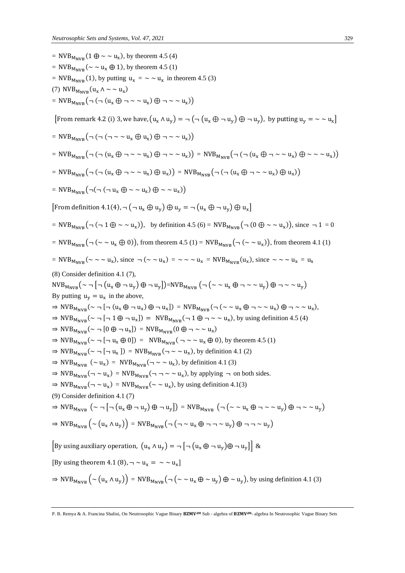| = NVB <sub>M<sub>NVB</sub></sub> $(1 \oplus \sim \sim u_x)$ , by theorem 4.5 (4)                                                                                                  |
|-----------------------------------------------------------------------------------------------------------------------------------------------------------------------------------|
| = NVB <sub>MNVB</sub> ( $\sim \sim u_x \oplus 1$ ), by theorem 4.5 (1)                                                                                                            |
| = NVB <sub>M<sub>NVB</sub>(1), by putting <math>u_x = \sim u_x</math> in theorem 4.5 (3)</sub>                                                                                    |
| (7) $NVB_{M_{NVR}}(u_x \wedge \sim u_x)$                                                                                                                                          |
| $= NVB_{M_{NVR}} (\neg (\neg (u_x \oplus \neg \sim \neg u_x) \oplus \neg \sim \neg u_x))$                                                                                         |
| [From remark 4.2 (i) 3, we have, $(u_x \wedge u_y) = \neg (\neg (u_x \oplus \neg u_y) \oplus \neg u_y)$ , by putting $u_y = \neg \neg u_x$ ]                                      |
| $= NVB_{M_{NVR}} (\neg (\neg (\neg \sim v_x \oplus u_x) \oplus \neg \sim v_x))$                                                                                                   |
| $= NVB_{M_{NVR}} (\neg (\neg (u_x \oplus \neg \sim \neg u_x) \oplus \neg \sim \neg u_x)) = NVB_{M_{NVR}} (\neg (\neg (u_x \oplus \neg \sim \neg u_x) \oplus \sim \sim \neg u_x))$ |
| $= NVB_{M_{NVR}} (\neg (\neg (u_x \oplus \neg \sim \neg u_x) \oplus u_x)) = NVB_{M_{NVR}} (\neg (\neg (u_x \oplus \neg \sim \neg u_x) \oplus u_x))$                               |
| = $NVB_{M_{NVR}}(\neg(\neg (\neg u_x \oplus \sim u_x) \oplus \sim \sim u_x))$                                                                                                     |
| From definition 4.1(4), $\neg(\neg u_x \oplus u_y) \oplus u_y = \neg (u_x \oplus \neg u_y) \oplus u_x$                                                                            |
| = NVB <sub>MNVR</sub> ( $\neg (\neg 1 \oplus \sim \sim u_x)$ ), by definition 4.5 (6) = NVB <sub>MNVB</sub> ( $\neg (0 \oplus \sim \sim u_x)$ ), since $\neg 1 = 0$               |
|                                                                                                                                                                                   |

 $= NVB_{M_{NVB}} (\neg (\sim \sim u_x \oplus 0))$ , from theorem 4.5 (1) =  $NVB_{M_{NVB}} (\neg (\sim \sim u_x))$ , from theorem 4.1 (1)

$$
= \text{NVB}_{M_{\text{NVB}}}(\sim \sim u_x), \text{ since } \neg (\sim u_x) = \sim \sim u_x = \text{NVB}_{M_{\text{NVB}}}(u_x), \text{ since } \sim \sim u_x = u_x
$$

(8) Consider definition 4.1 (7),

 $NVB_{M_{NVB}} (\sim \neg \mid \neg (u_x \oplus \neg u_y) \oplus \neg u_y]) = NVB_{M_{NVB}} (\neg (\sim \sim u_x \oplus \neg \sim \sim u_y) \oplus \neg \sim \sim u_y)$ By putting  $u_y = u_x$  in the above,  $\Rightarrow$  NVB<sub>M<sub>NVB</sub>( $\sim \neg$ [ $\neg$ ( $u_x \oplus \neg u_x$ ) $\oplus \neg u_x$ ]) = NVB<sub>M<sub>NVB</sub>( $\neg$ ( $\sim \sim u_x \oplus \neg \sim \sim u_x$ ) $\oplus \neg \sim \sim u_x$ ),</sub></sub>  $\Rightarrow$  NVB<sub>MNVB</sub>( $\sim \neg$  [ $\neg$  1  $\oplus \neg$   $u_x$ ]) = NVB<sub>MNVB</sub>( $\neg$  1  $\oplus \neg \sim \sim u_x$ ), by using definition 4.5 (4)

$$
\Rightarrow \text{NVB}_{M_{\text{NVB}}}(\sim \neg \left[0 \oplus \neg u_x\right]) = \text{NVB}_{M_{\text{NVB}}}(0 \oplus \neg \sim \sim u_x)
$$

$$
\Rightarrow \text{NVB}_{M_{\text{NVB}}}(\sim \neg [\neg u_x \oplus 0]) = \text{NVB}_{M_{\text{NVB}}}(\neg \sim u_x \oplus 0), \text{ by theorem 4.5 (1)}
$$

- $\Rightarrow$  NVB<sub>M<sub>NVB</sub>( $\sim \neg$ [ $\neg$  u<sub>x</sub>]) = NVB<sub>M<sub>NVB</sub>( $\neg \sim \sim$  u<sub>x</sub>), by definition 4.1 (2)</sub></sub>
- $\Rightarrow$  NVB<sub>M<sub>NVB</sub> ( $\sim u_x$ ) = NVB<sub>M<sub>NVB</sub>( $\sim \sim u_x$ ), by definition 4.1 (3)</sub></sub>
- $\Rightarrow$  NVB<sub>M<sub>NVB</sub>( $\neg \sim u_x$ ) = NVB<sub>M<sub>NVB</sub>( $\neg \sim \sim u_x$ ), by applying  $\neg$  on both sides.</sub></sub>

$$
\Rightarrow \text{NVB}_{M_{\text{NVB}}}(\neg \sim u_x) = \text{NVB}_{M_{\text{NVB}}}(\sim \sim u_x), \text{ by using definition 4.1(3)}
$$

(9) Consider definition 4.1 (7)

$$
\Rightarrow \text{NVB}_{M_{\text{NVB}}} \left( \sim \neg \left[ \neg \left( u_x \oplus \neg u_y \right) \oplus \neg u_y \right] \right) = \text{NVB}_{M_{\text{NVB}}} \left( \neg \left( \sim \sim u_x \oplus \neg \sim \sim u_y \right) \oplus \neg \sim \sim u_y \right)
$$

$$
\Rightarrow \text{NVB}_{M_{\text{NVB}}} \left( \sim (u_x \land u_y) \right) = \text{NVB}_{M_{\text{NVB}}} \left( \neg (\neg \sim u_x \oplus \neg \neg \sim u_y) \oplus \neg \neg \sim u_y \right)
$$

[By using auxiliary operation,  $(u_x \wedge u_y) = \neg [ \neg (u_x \oplus \neg u_y) \oplus \neg u_y ] | \&$ 

[By using theorem 4.1 (8),  $\neg \sim u_x = \sim u_x$ ]

 $\Rightarrow$  NVB<sub>MNVB</sub>  $(\sim (u_x \wedge u_y)) =$  NVB<sub>MNVB</sub>  $(\neg (\sim u_x \oplus \sim u_y) \oplus \sim u_y)$ , by using definition 4.1 (3)

P. B. Remya & A. Francina Shalini, On Neutrosophic Vague Binary BZMV<sup>aM</sup> Sub - algebra of BZMV<sup>aM</sup>- algebra In Neutrosophic Vague Binary Sets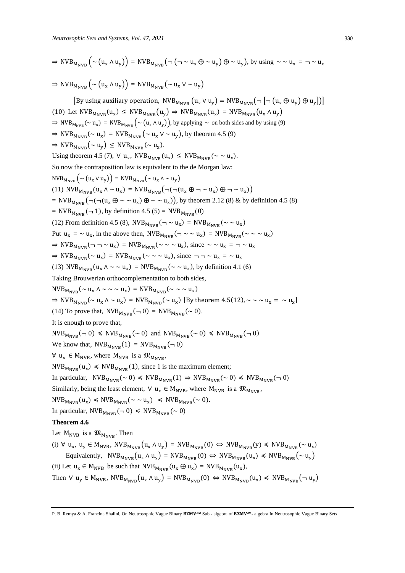⇒ NVB<sup>M</sup>NVB (~ (u<sup>x</sup> ∧ uy)) = NVB<sup>M</sup>NVB(¬ (¬ ~ u<sup>x</sup> ⨁ ~ uy) ⨁ ~ uy), by using ~ ~ u<sup>x</sup> = ¬ ~ u<sup>x</sup> ⇒ NVB<sup>M</sup>NVB (~ (u<sup>x</sup> ∧ uy)) = NVB<sup>M</sup>NVB(~ u<sup>x</sup> ∨ ~ uy) [By using auxiliary operation, NVB<sup>M</sup>NVB (u<sup>x</sup> ∨ uy) = NVB<sup>M</sup>NVB (¬ [¬(u<sup>x</sup> ⨁ uy) ⨁ u<sup>y</sup> ])] (10) Let NVB<sup>M</sup>NVB(u<sup>x</sup> ) ≤ NVB<sup>M</sup>NVB(uy) ⇒ NVB<sup>M</sup>NVB(u<sup>x</sup> ) = NVB<sup>M</sup>NVB(u<sup>x</sup> ∧ uy) ⇒ NVBMNVB (~ u<sup>x</sup> ) = NVBMNVB (~ (u<sup>x</sup> ∧ uy)), by applying ~ on both sides and by using (9) ⇒ NVB<sup>M</sup>NVB(~ u<sup>x</sup> ) = NVB<sup>M</sup>NVB(~ u<sup>x</sup> ∨ ~ uy), by theorem 4.5 (9) ⇒ NVB<sup>M</sup>NVB(~ uy) ≤ NVB<sup>M</sup>NVB(~ u<sup>x</sup> ). Using theorem 4.5 (7), ∀ u<sup>x</sup> , NVB<sup>M</sup>NVB(u<sup>x</sup> ) ≤ NVB<sup>M</sup>NVB(~ ~ u<sup>x</sup> ). So now the contraposition law is equivalent to the de Morgan law: NVBMNVB (~ (u<sup>x</sup> ∨ uy)) = NVBMNVB(~ u<sup>x</sup> ∧ ~ uy) (11) NVB<sup>M</sup>NVB(u<sup>x</sup> ∧ ~ u<sup>x</sup> ) = NVB<sup>M</sup>NVB(¬(¬(u<sup>x</sup> ⨁ ¬ ~ u<sup>x</sup> ) ⨁ ¬~ u<sup>x</sup> )) = NVB<sup>M</sup>NVB (¬(¬(u<sup>x</sup> ⨁ ~ ~ u<sup>x</sup> ) ⨁ ~ ~ u<sup>x</sup> )), by theorem 2.12 (8) & by definition 4.5 (8) = NVB<sup>M</sup>NVB (¬ 1), by definition 4.5 (5) = NVB<sup>M</sup>NVB(0) (12) From definition 4.5 (8), NVB<sup>M</sup>NVB(¬ ~ u<sup>x</sup> ) = NVB<sup>M</sup>NVB(~ ~ u<sup>x</sup> ) Put u<sup>x</sup> = ~ u<sup>x</sup> , in the above then, NVB<sup>M</sup>NVB (¬ ~ ~ u<sup>x</sup> ) = NVB<sup>M</sup>NVB(~ ~ ~ u<sup>x</sup> ) ⇒ NVB<sup>M</sup>NVB(¬ ¬~ u<sup>x</sup> ) = NVB<sup>M</sup>NVB(~ ~ ~ u<sup>x</sup> ), since ~ ~ u<sup>x</sup> = ¬~ u<sup>x</sup> ⇒ NVB<sup>M</sup>NVB(~ u<sup>x</sup> ) = NVB<sup>M</sup>NVB(~ ~ ~ u<sup>x</sup> ), since ¬ ¬~ u<sup>x</sup> = ~ u<sup>x</sup> (13) NVB<sup>M</sup>NVB(u<sup>x</sup> ∧ ~ ~ u<sup>x</sup> ) = NVB<sup>M</sup>NVB(~ ~ u<sup>x</sup> ), by definition 4.1 (6) Taking Brouwerian orthocomplementation to both sides, NVB<sup>M</sup>NVB(~ u<sup>x</sup> ∧ ~ ~ ~ u<sup>x</sup> ) = NVB<sup>M</sup>NVB(~ ~ ~ u<sup>x</sup> ) ⇒ NVB<sup>M</sup>NVB(~ u<sup>x</sup> ∧ ~ u<sup>x</sup> ) = NVB<sup>M</sup>NVB(~ u<sup>x</sup> ) [By theorem 4.5(12), ~ ~ ~ u<sup>x</sup> = ~ u<sup>x</sup> ] (14) To prove that, NVB<sup>M</sup>NVB(¬0) = NVB<sup>M</sup>NVB(~ 0). It is enough to prove that, NVB<sup>M</sup>NVB(¬0) ≼ NVB<sup>M</sup>NVB(~ 0) and NVB<sup>M</sup>NVB(~ 0) ≼ NVB<sup>M</sup>NVB(¬ 0) We know that, NVB<sup>M</sup>NVB(1) = NVB<sup>M</sup>NVB(¬0) ∀ u<sup>x</sup> ∈ MNVB, where MNVB is a <sup>M</sup>NVB, NVB<sup>M</sup>NVB(u<sup>x</sup> ) ≼ NVB<sup>M</sup>NVB(1), since 1 is the maximum element; In particular, NVB<sup>M</sup>NVB(~ 0) ≼ NVB<sup>M</sup>NVB(1) ⇒ NVB<sup>M</sup>NVB(~ 0) ≼ NVB<sup>M</sup>NVB(¬ 0) Similarly, being the least element, ∀ u<sup>x</sup> ∈ MNVB, where MNVB is a <sup>M</sup>NVB, NVB<sup>M</sup>NVB(u<sup>x</sup> ) ≼ NVB<sup>M</sup>NVB(~ ~ u<sup>x</sup> ) ≼ NVB<sup>M</sup>NVB(~ 0). In particular, NVB<sup>M</sup>NVB(¬ 0) ≼ NVB<sup>M</sup>NVB(~ 0) **Theorem 4.6**  Let MNVB is a <sup>M</sup>NVB. Then (i) ∀ u<sup>x</sup> , u<sup>y</sup> ∈ MNVB, NVB<sup>M</sup>NVB(u<sup>x</sup> ∧ uy) = NVB<sup>M</sup>NVB(0) ⇔ NVB<sup>M</sup>NVB(y) ≼ NVB<sup>M</sup>NVB(~ u<sup>x</sup> ) Equivalently, NVB<sup>M</sup>NVB (u<sup>x</sup> ∧ uy) = NVB<sup>M</sup>NVB(0) ⇔ NVB<sup>M</sup>NVB (u<sup>x</sup> ) ≼ NVB<sup>M</sup>NVB(~ uy) (ii) Let u<sup>x</sup> ∈ MNVB be such that NVB<sup>M</sup>NVB (u<sup>x</sup> ⨁ u<sup>x</sup> ) = NVB<sup>M</sup>NVB(u<sup>x</sup> ), Then ∀ u<sup>y</sup> ∈ MNVB, NVB<sup>M</sup>NVB(u<sup>x</sup> ∧ uy) = NVB<sup>M</sup>NVB(0) ⇔ NVB<sup>M</sup>NVB(u<sup>x</sup> ) ≼ NVB<sup>M</sup>NVB (¬ uy)

P. B. Remya & A. Francina Shalini, On Neutrosophic Vague Binary BZMV<sup>aM</sup> Sub - algebra of BZMV<sup>dM</sup>- algebra In Neutrosophic Vague Binary Sets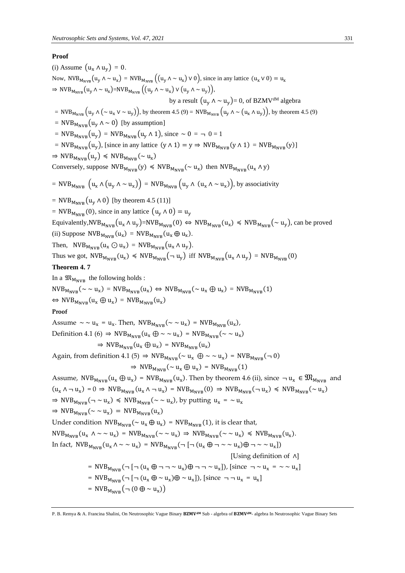### **Proof**

(i) Assume  $(u_x \wedge u_y) = 0$ . Now, NVB<sub>M<sub>NVB</sub>(u<sub>y</sub>  $\Lambda \sim u_x$ ) = NVB<sub>M<sub>NVB</sub></sub>((u<sub>y</sub>  $\Lambda \sim u_x$ )  $\vee$  0), since in any lattice (u<sub>x</sub>  $\vee$  0) = u<sub>x</sub></sub>  $\Rightarrow$  NVB<sub>MNVB</sub>(u<sub>y</sub>  $\wedge \sim u_x$ )=NVB<sub>M<sub>NVB</sub>((u<sub>y</sub>  $\wedge \sim u_x$ )  $\vee$  (u<sub>y</sub>  $\wedge \sim u_y$ )),</sub> by a result  $(u_v \wedge \sim u_v) = 0$ , of BZMV<sup>dM</sup> algebra = NVB<sub>M<sub>NVB</sub>  $(u_y \wedge (\sim u_x \vee \sim u_y))$ , by theorem 4.5 (9) = NVB<sub>M<sub>NVB</sub>  $(u_y \wedge \sim (u_x \wedge u_y))$ , by theorem 4.5 (9)</sub></sub> = NVB<sub>MNVB</sub> $(u_v \wedge \sim 0)$  [by assumption]  $= NVB_{M_{NVR}}(u_y) = NVB_{M_{NVR}}(u_y \wedge 1)$ , since  $\sim 0 = -1$ = NVB<sub>MNVB</sub>(u<sub>y</sub>), [since in any lattice  $(y \wedge 1) = y \Rightarrow NVB_{M_{NVR}}(y \wedge 1) = NVB_{M_{NVR}}(y)$ ]  $\Rightarrow$  NVB<sub>MNVB</sub>( $u_y$ )  $\leq$  NVB<sub>MNVB</sub>( $\sim$  u<sub>x</sub>) Conversely, suppose  $NVB_{M_{NVB}}(y) \leq NVB_{M_{NVB}}(\sim u_x)$  then  $NVB_{M_{NVB}}(u_x \wedge y)$ = NVB<sub>M<sub>NVB</sub>  $(u_x \wedge (u_y \wedge \sim u_x))$  = NVB<sub>M<sub>NVB</sub>  $(u_y \wedge (u_x \wedge \sim u_x))$ , by associativity</sub></sub>  $= NVB_{M_{NVP}}(u_v \wedge 0)$  [by theorem 4.5 (11)] = NVB<sub>M<sub>NVB</sub> (0), since in any lattice  $(u_y \wedge 0) = u_y$ </sub> Equivalently,  $NVB_{M_{NVB}}(u_x \wedge u_y) = NVB_{M_{NVB}}(0) \Leftrightarrow NVB_{M_{NVB}}(u_x) \leq NVB_{M_{NVB}}(\sim u_y)$ , can be proved (ii) Suppose  $NVB_{M_{NVB}}(u_x) = NVB_{M_{NVB}}(u_x \oplus u_x)$ . Then,  $NVB_{M_{NVB}}(u_x \odot u_x) = NVB_{M_{NVB}}(u_x \wedge u_y)$ . Thus we got,  $NVB_{M_{NVB}}(u_x) \leq NVB_{M_{NVB}}(\neg u_y)$  iff  $NVB_{M_{NVB}}(u_x \wedge u_y) = NVB_{M_{NVB}}(0)$ **Theorem 4. 7**  In a  $\mathfrak{M}_{M_{\text{NVB}}}$  the following holds :  $NVB_{M_{NVB}}(\sim \sim u_x) = NVB_{M_{NVB}}(u_x) \Leftrightarrow NVB_{M_{NVB}}(\sim u_x \oplus u_x) = NVB_{M_{NVB}}(1)$  $\Leftrightarrow$  NVB<sub>M<sub>NVB</sub>(u<sub>x</sub>)  $\oplus$  u<sub>x</sub>) = NVB<sub>M<sub>NVB</sub>(u<sub>x</sub>)</sub></sub> **Proof**  Assume  $\sim \sim u_x = u_x$ . Then,  $NVB_{M_{NVB}}(\sim \sim u_x) = NVB_{M_{NVB}}(u_x)$ , Definition 4.1 (6)  $\Rightarrow$  NVB<sub>M<sub>NVB</sub>( $u_x \oplus \sim u_x$ ) = NVB<sub>M<sub>NVB</sub>( $\sim \sim u_x$ )</sub></sub>  $\Rightarrow$  NVB<sub>MNVB</sub>( $u_x \oplus u_x$ ) = NVB<sub>MNVB</sub>( $u_x$ ) Again, from definition 4.1 (5)  $\Rightarrow$  NVB<sub>MNVB</sub>( $\sim u_x \oplus \sim \sim u_x$ ) = NVB<sub>MNVB</sub>( $\sim 0$ )  $\Rightarrow$  NVB<sub>MNVB</sub>( $\sim u_x \oplus u_x$ ) = NVB<sub>MNVB</sub>(1) Assume,  $NVB_{M_{NVB}}(u_x \oplus u_x) = NVB_{M_{NVB}}(u_x)$ . Then by theorem 4.6 (ii), since  $\neg u_x \in \mathfrak{M}_{M_{NVB}}$  and  $(u_x \wedge \neg u_x) = 0 \Rightarrow \text{NVB}_{M_{\text{NVB}}}(u_x \wedge \neg u_x) = \text{NVB}_{M_{\text{NVB}}}(0) \Rightarrow \text{NVB}_{M_{\text{NVB}}}(\neg u_x) \le \text{NVB}_{M_{\text{NVB}}}(\sim u_x)$  $\Rightarrow$  NVB<sub>M<sub>NVB</sub>( $\neg \sim u_x$ )  $\leq$  NVB<sub>M<sub>NVB</sub>( $\sim \sim u_x$ ), by putting  $u_x = \sim u_x$ </sub></sub>  $\Rightarrow$  NVB<sub>MNVB</sub>( $\sim \sim u_x$ ) = NVB<sub>MNVB</sub>( $u_x$ ) Under condition  $NVB_{M_{NVB}} (\sim u_x \oplus u_x) = NVB_{M_{NVB}}(1)$ , it is clear that,  $NVB_{M_{NVB}}(u_x \wedge \sim \sim u_x) = NVB_{M_{NVB}}(\sim \sim u_x) \Rightarrow NVB_{M_{NVB}}(\sim \sim u_x) \leq NVB_{M_{NVB}}(u_x).$ In fact,  $NVB_{M_{NVB}}(u_x \wedge \sim u_x) = NVB_{M_{NVB}}(\neg \neg (\neg (u_x \oplus \neg \sim \sim u_x) \oplus \neg \sim \sim u_x])$  [Using definition of ∧] =  $NVB_{M_{NVB}}(\neg \neg (\alpha_x \oplus \neg \neg \sim \alpha_x) \oplus \neg \neg \sim \alpha_x])$ , [since  $\neg \sim \alpha_x = \sim \alpha_x$ ] = NVB<sub>M<sub>NVB</sub>( $\neg$ [ $\neg$ ( $u_x \oplus \sim u_x$ ) $\oplus \sim u_x$ ]), [since  $\neg \neg u_x = u_x$ ]</sub> = NVB<sub>M<sub>NVB</sub> $(\neg$  (0  $\oplus \sim u_x)$ )</sub>

P. B. Remya & A. Francina Shalini, On Neutrosophic Vague Binary BZMV<sup>dM</sup> Sub - algebra of BZMV<sup>dM</sup>- algebra In Neutrosophic Vague Binary Sets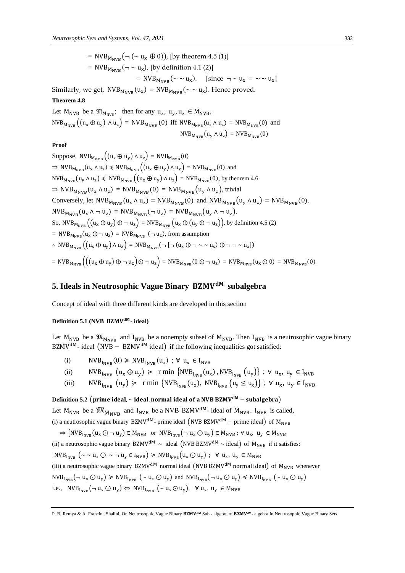= NVB<sub>MNVB</sub> $(\neg (\sim u_x \oplus 0))$ , [by theorem 4.5 (1)] =  $NVB_{M_{NVB}}(\neg \sim u_x)$ , [by definition 4.1 (2)] = NVB<sub>M<sub>NVB</sub>( $\sim \sim u_x$ ). [since  $\neg \sim u_x = \sim \sim u_x$ ]</sub>

Similarly, we get,  $\text{NVB}_{M_{\text{NVB}}}(u_x) = \text{NVB}_{M_{\text{NVB}}}(\sim \sim u_x)$ . Hence proved.

### **Theorem 4.8**

Let  $M_{NVB}$  be a  $\mathfrak{M}_{M_{NVB}}$ ; then for any  $u_x$ ,  $u_y$ ,  $u_z \in M_{NVB}$ ,  $NVB_{M_{NVB}}((u_x \oplus u_y) \wedge u_z) = NVB_{M_{NVB}}(0)$  iff  $NVB_{M_{NVB}}(u_x \wedge u_z) = NVB_{M_{NVB}}(0)$  and  $NVB_{M_{NVB}}(u_y \wedge u_z) = NVB_{M_{NVB}}(0)$ 

### **Proof**

Suppose,  $NVB_{M_{NVB}}((u_x \oplus u_y) \wedge u_z) = NVB_{M_{NVB}}(0)$  $\Rightarrow$  NVB<sub>M<sub>NVB</sub></sub>( $u_x \wedge u_z$ )  $\leq$  NVB<sub>M<sub>NVB</sub></sub>( $(u_x \oplus u_y) \wedge u_z$ ) = NVB<sub>M<sub>NVB</sub>(0) and</sub>  $NVB_{M_{NVB}}(u_y \wedge u_z) \leq NVB_{M_{NVB}}((u_x \oplus u_y) \wedge u_z) = NVB_{M_{NVB}}(0)$ , by theorem 4.6  $\Rightarrow$  NVB<sub>MNVB</sub>(u<sub>x</sub>  $\wedge$  u<sub>z</sub>) = NVB<sub>MNVB</sub>(0) = NVB<sub>MNVB</sub>(u<sub>y</sub>  $\wedge$  u<sub>z</sub>), trivial Conversely, let  $NVB_{M_{NVB}}(u_x \wedge u_z) = NVB_{M_{NVB}}(0)$  and  $NVB_{M_{NVB}}(u_y \wedge u_z) = NVB_{M_{NVB}}(0)$ .  $NVB_{M_{NVB}}(u_x \wedge \neg u_z) = NVB_{M_{NVB}}(\neg u_z) = NVB_{M_{NVB}}(u_y \wedge \neg u_z).$ So,  $NVB_{M_{NVR}}((u_x \oplus u_y) \oplus u_z) = NVB_{M_{NVR}}(u_x \oplus (u_y \oplus u_z)),$  by definition 4.5 (2) = NVB<sub>M<sub>NVB</sub></sub>( $u_x \oplus -u_z$ ) = NVB<sub>M<sub>NVB</sub> ( $-u_z$ ), from assumption</sub> ∴ NVB<sub>M<sub>NVB</sub></sub>  $((u_x \oplus u_y) \wedge u_z) = \text{NVB}_{M_{\text{NVB}}}(\neg \Box (u_x \oplus \neg \sim \neg u_x) \oplus \neg \neg \sim u_x])$  $= NVB_{M_{NVB}}((u_x \oplus u_y) \oplus \neg u_z) \odot \neg u_z) = NVB_{M_{NVB}}(0 \odot \neg u_z) = NVB_{M_{NVB}}(u_x \odot 0) = NVB_{M_{NVB}}(0)$ 

### **5. Ideals in Neutrosophic Vague Binary subalgebra**

Concept of ideal with three different kinds are developed in this section

### **Definition 5.1** (NVB **BZMV<sup>dM</sup>**- ideal)

Let  $M_{NVB}$  be a  $\mathfrak{M}_{M_{NVR}}$  and  $I_{NVB}$  be a nonempty subset of  $M_{NVB}$ . Then  $I_{NVB}$  is a neutrosophic vague binary BZMV<sup>dM</sup>- ideal (NVB − BZMV<sup>dM</sup> ideal) if the following inequalities got satisfied:

- (i)  $NVB_{I_{NVB}}(0) \geq NVB_{I_{NVB}}(u_x)$ ;  $\forall u_x \in I_{NVB}$
- (ii)  $NVB_{I_{NVB}}(u_x \oplus u_y) \geq r \min \{NVB_{I_{NVB}}(u_x), NVB_{I_{NVB}}(u_y)\}; \forall u_x, u_y \in I_{NVB}$
- (iii)  $NVB_{I_{NVB}}(u_y) \geq r \min \{NVB_{I_{NVB}}(u_x), NVB_{I_{NVB}}(u_y \leq u_x)\}; \forall u_x, u_y \in I_{NVB}$

### **Definition 5.2** (prime ideal,  $\sim$  ideal, normal ideal of a NVB BZMV<sup>dM</sup> – subalgebra)

Let  $M_{NVB}$  be a  $\mathfrak{M}_{M_{NVR}}$  and  $I_{NVB}$  be a NVB BZMV<sup>dM</sup>- ideal of  $M_{NVB}$ .  $I_{NVB}$  is called,

(i) a neutrosophic vague binary BZMV<sup>dM</sup>- prime ideal (NVB BZMV<sup>dM</sup> – prime ideal) of  $M_{NVR}$ 

 $\Leftrightarrow$  {NVB<sub>I<sub>NVB</sub></sub>( $u_x \odot \neg u_y$ )  $\in M_{NVB}$  or  $NVB_{I_{NVB}}(\neg u_x \odot u_y) \in M_{NVB}$ ;  $\forall u_x, u_y \in M_{NVB}$ 

(ii) a neutrosophic vague binary BZMV<sup>dM</sup>  $\sim$  ideal (NVB BZMV<sup>dM</sup>  $\sim$  ideal) of M<sub>NVB</sub> if it satisfies:

 $NVB_{I_{NVB}}$   $(\sim \sim u_x \odot \sim \neg u_y \in I_{NVB}) \geq NVB_{I_{NVB}}(u_x \odot u_y)$ ;  $\forall u_x, u_y \in M_{NVB}$ 

(iii) a neutrosophic vague binary BZMV<sup>dM</sup> normal ideal (NVB BZMV<sup>dM</sup> normal ideal) of  $M_{NVR}$  whenever

 $NVB_{I_{NVR}}(\neg u_x \bigcirc u_y) \geq NVB_{I_{NVR}}(\sim u_x \bigcirc u_y)$  and  $NVB_{I_{NVB}}(\neg u_x \bigcirc u_y) \leq NVB_{I_{NVB}}(\sim u_x \bigcirc u_y)$ 

i.e.,  $NVB_{I_{NVB}}(\neg u_x \odot u_y) \Leftrightarrow NVB_{I_{NVB}}(\sim u_x \odot u_y), \forall u_x, u_y \in M_{NVB}$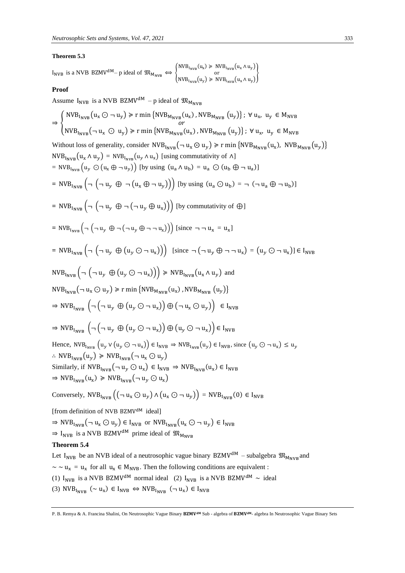#### **Theorem 5.3**

$$
I_{\text{NVB}} \text{ is a NVB BZMV}^{\text{dM}} - p \text{ ideal of } \mathfrak{M}_{\text{M}_{\text{NVB}}} \Longleftrightarrow \begin{cases} \text{NVB}_{\text{I}_{\text{NVB}}}(u_x) > \text{NVB}_{\text{I}_{\text{NVB}}}(u_x \land u_y) \\ \text{or} \\ \text{NVB}_{\text{I}_{\text{NVB}}}(u_y) > \text{NVB}_{\text{I}_{\text{NVB}}}(u_x \land u_y) \end{cases}
$$

#### **Proof**

Assume  $I_{NVR}$  is a NVB BZMV<sup>dM</sup> – p ideal of  $\mathfrak{M}_{M_{NVP}}$ ⇒ {  $NVB_{I_{NVB}}(u_x \odot \neg u_y) \ge r \min \{NVB_{M_{NVB}}(u_x), NVB_{M_{NVB}}(u_y)\}; \forall u_x, u_y \in M_{NVB}$  $\overline{or}$  $NVB_{I_{NVB}}(\neg u_x \odot u_y) \ge r \min \{NVB_{M_{NVB}}(u_x), NVB_{M_{NVB}}(u_y)\}; \forall u_x, u_y \in M_{NVB}$ Without loss of generality, consider  $NVB_{I_{NVB}}(-u_x \odot u_y) \ge r \min \{NVB_{M_{NVB}}(u_x), NVB_{M_{NVB}}(u_y)\}\$  $NVB_{I_{NVB}}(u_x \wedge u_y) = NVB_{I_{NVB}}(u_y \wedge u_x)$  [using commutativity of  $\wedge$ ]  $= NVB_{I_{NVB}}(u_y \odot (u_x \oplus \neg u_y))$  [by using  $(u_a \wedge u_b) = u_a \odot (u_b \oplus \neg u_a)$ ]  $= NVB_{I_{NVB}} \left( \neg \left( \neg u_y \oplus \neg (u_x \oplus \neg u_y) \right) \right)$  [by using  $(u_a \odot u_b) = \neg (\neg u_a \oplus \neg u_b)$ ]  $= NVB_{I_{NVB}} \left( \neg \left( \neg u_y \oplus \neg (\neg u_y \oplus u_x) \right) \right)$  [by commutativity of  $\bigoplus$ ]  $= NVB_{I_{NVB}} \left( \neg \left( \neg u_y \oplus \neg (\neg u_y \oplus \neg \neg u_x) \right) \right)$  [since  $\neg \neg u_x = u_x$ ]  $= NVB_{I_{NVB}} \left( \neg \left( \neg u_y \oplus (u_y \odot \neg u_x) \right) \right)$  [since  $\neg \left( \neg u_y \oplus \neg \neg u_x \right) = (u_y \odot \neg u_x) \in I_{NVB}$  $NVB_{I_{NVB}}\left(\neg \left(\neg u_y \oplus (u_y \odot \neg u_x)\right)\right) \geq NVB_{I_{NVB}}(u_x \wedge u_y)$  and  $\text{NVB}_{I_{\text{NVB}}}(\neg u_x \bigodot u_y) \ge \text{r min}\left\{\text{NVB}_{M_{\text{NVB}}}(\mathsf{u}_x), \text{NVB}_{M_{\text{NVB}}}(\mathsf{u}_y)\right\}$  $\Rightarrow$  NVB<sub>INVB</sub>  $\left(\neg \left(\neg u_y \oplus (u_y \odot \neg u_x)\right) \oplus (\neg u_x \odot u_y)\right) \in I_{NVB}$  $\Rightarrow$  NVB<sub>INVB</sub>  $(\neg(\neg u_y \oplus (u_y \odot \neg u_x)) \oplus (u_y \odot \neg u_x)) \in I_{\text{NVB}}$ Hence,  $NVB_{I_{NVR}} (u_{\nu} \vee (u_{\nu} \odot \neg u_{\nu})) \in I_{NVB} \Rightarrow NVB_{I_{NVR}} (u_{\nu}) \in I_{NVB}$ , since  $(u_{\nu} \odot \neg u_{\nu}) \leq u_{\nu}$ ∴ NVB<sub>INVB</sub> $(u_y)$  ≽ NVB<sub>INVB</sub> $(\neg u_x \odot u_y)$ Similarly, if  $NVB_{I_{NVB}}(\neg u_y \bigodot u_x) \in I_{NVB} \Rightarrow NVB_{I_{NVB}}(u_x) \in I_{NVB}$  $\Rightarrow$  NVB<sub>INVB</sub>( $u_x$ )  $\geq$  NVB<sub>INVB</sub>( $\neg$   $u_y \odot u_x$ ) Conversely,  $NVB_{I_{NVR}}((\neg u_x \odot u_y) \wedge (u_x \odot \neg u_y)) = NVB_{I_{NVR}}(0) \in I_{NVB}$ [from definition of NVB BZMV<sup>dM</sup> ideal]  $\Rightarrow$  NVB<sub>INVB</sub>( $\neg u_x \bigodot u_y$ )  $\in$  I<sub>NVB</sub> or NVB<sub>INVB</sub>( $u_x \bigodot \neg u_y$ )  $\in$  I<sub>NVB</sub>  $\Rightarrow$  I<sub>NVB</sub> is a NVB BZMV<sup>dM</sup> prime ideal of  $\mathfrak{M}_{M_{\text{NNR}}}$ **Theorem 5.4** Let I<sub>NVB</sub> be an NVB ideal of a neutrosophic vague binary BZMV<sup>dM</sup> – subalgebra  $\mathfrak{M}_{M_{\text{NNVD}}}$  and  $\sim \sim u_x = u_x$  for all  $u_x \in M_{NVB}$ . Then the following conditions are equivalent : (1)  $I_{NVR}$  is a NVB BZMV<sup>dM</sup> normal ideal (2)  $I_{NVR}$  is a NVB BZMV<sup>dM</sup> ~ ideal (3)  $NVB_{I_{NVB}}$  (~  $u_x$ )  $\in I_{NVB}$   $\Leftrightarrow$   $NVB_{I_{NVB}}$  ( $\neg u_x$ )  $\in I_{NVB}$ 

P. B. Remya & A. Francina Shalini, On Neutrosophic Vague Binary BZMV<sup>dM</sup> Sub - algebra of BZMV<sup>dM</sup>- algebra In Neutrosophic Vague Binary Sets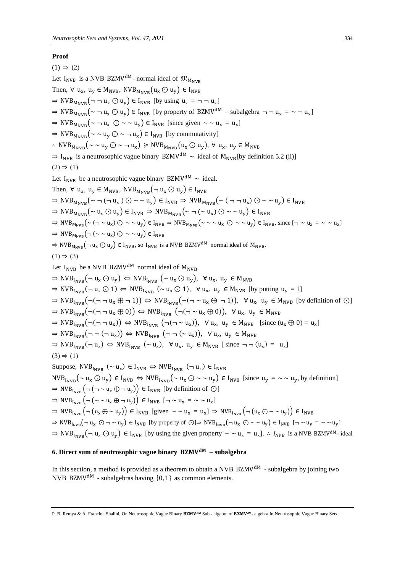### **Proof**

 $(1) \Rightarrow (2)$ Let  $I_{NVB}$  is a NVB BZMV<sup>dM</sup>- normal ideal of  $\mathfrak{M}_{M_{NVB}}$ Then,  $\forall$  u<sub>x</sub>, u<sub>y</sub>  $\in M_{\text{NVB}}$ , NVB<sub>M<sub>NVB</sub>  $(u_x \odot u_y) \in I_{\text{NVB}}$ </sub>  $\Rightarrow$  NVB<sub>MNVB</sub>( $\neg$  $\neg$   $u_x \odot u_y$ )  $\in$  I<sub>NVB</sub> [by using  $u_x = \neg \neg u_x$ ]  $\Rightarrow$  NVB<sub>M<sub>NVB</sub>( $\sim$   $\sim$   $u_x \odot u_y$ )  $\in$  I<sub>NVB</sub> [by property of BZMV<sup>dM</sup> – subalgebra  $\neg$   $\neg$   $u_x = \sim$   $\neg$   $u_x$ ]</sub>  $\Rightarrow$  NVB<sub>MNVB</sub>( $\sim \neg u_x \odot \sim \neg u_y$ )  $\in$  I<sub>NVB</sub> [since given  $\sim \sim u_x = u_x$ ]  $\Rightarrow$  NVB<sub>MNVB</sub>( $\sim \sim u_v \odot \sim \neg u_x$ )  $\in$  I<sub>NVB</sub> [by commutativity] ∴ NVB<sub>MNVB</sub>(~ ~ u<sub>y</sub> ⊙ ~ ¬ u<sub>x</sub>) ≥ NVB<sub>MNVB</sub>(u<sub>x</sub> ⊙ u<sub>y</sub>), ∀ u<sub>x</sub>, u<sub>y</sub> ∈ M<sub>NVB</sub>  $\Rightarrow$  I<sub>NVB</sub> is a neutrosophic vague binary BZMV<sup>dM</sup>  $\sim$  ideal of M<sub>NVB</sub>[by definition 5.2 (ii)]  $(2) \Rightarrow (1)$ Let I<sub>NVB</sub> be a neutrosophic vague binary BZMV<sup>dM</sup>  $\sim$  ideal. Then,  $\forall$   $u_x$ ,  $u_y \in M_{NVB}$ ,  $NVB_{M_{NVB}}$  $(\neg u_x \bigcirc u_y) \in I_{NVB}$  $\Rightarrow$  NVB<sub>M<sub>NVB</sub>(~ ¬ (¬ u<sub>x</sub>)  $\odot$  ~ ~ u<sub>y</sub>)  $\in$  I<sub>NVB</sub>  $\Rightarrow$  NVB<sub>M<sub>NVB</sub>(~ ( ¬ ¬ u<sub>x</sub>)  $\odot$  ~ ~ u<sub>y</sub>)  $\in$  I<sub>NVB</sub></sub></sub>  $\Rightarrow$  NVB<sub>M<sub>NVB</sub>( $\sim$  u<sub>x</sub>  $\odot$  u<sub>y</sub>)  $\in$  I<sub>NVB</sub>  $\Rightarrow$  NVB<sub>M<sub>NVB</sub>( $\sim$   $\lnot$  ( $\sim$  u<sub>x</sub>)  $\odot$   $\sim$   $\sim$  u<sub>y</sub>)  $\in$  I<sub>NVB</sub></sub></sub>  $\Rightarrow$  NVB<sub>M<sub>NVB</sub>(~ (¬ ~ u<sub>x</sub>)  $\odot \sim$  ~ u<sub>y</sub>)  $\in$  I<sub>NVB</sub>  $\Rightarrow$  NVB<sub>M<sub>NVB</sub>(~ ~ ~ u<sub>x</sub>  $\odot \sim$  ~ u<sub>y</sub>)  $\in$  I<sub>NVB</sub>, since [¬ ~ u<sub>x</sub> = ~ ~ u<sub>x</sub>]</sub></sub>  $\Rightarrow$  NVB<sub>M<sub>NVB</sub>( $\neg (\sim \sim u_x) \odot \sim \sim u_y$ )  $\in I_{NVB}$ </sub>  $\Rightarrow$  NVB<sub>MNVB</sub>( $\neg u_x \bigcirc u_y$ )  $\in$  I<sub>NVB</sub>, so I<sub>NVB</sub> is a NVB BZMV<sup>dM</sup> normal ideal of M<sub>NVB</sub>.  $(1) \Rightarrow (3)$ Let  $I_{NVR}$  be a NVB BZMV<sup>dM</sup> normal ideal of M<sub>NVB</sub>  $\Rightarrow$  NVB<sub>INVB</sub>( $\neg u_x \odot u_y$ )  $\Leftrightarrow$  NVB<sub>INVB</sub> ( $\sim u_x \odot u_y$ ),  $\neg u_x$ ,  $u_y \in M_{NVB}$  $\Rightarrow$  NVB<sub>INVB</sub>( $\neg u_x \bigcirc 1$ )  $\Leftrightarrow$  NVB<sub>INVB</sub> ( $\sim u_x \bigcirc 1$ ),  $\forall u_x, u_y \in M_{NVB}$  [by putting  $u_y = 1$ ]  $\Rightarrow$  NVB<sub>INVB</sub>(¬(¬¬ u<sub>x</sub> ⊕ ¬ 1))  $\Leftrightarrow$  NVB<sub>INVB</sub>(¬(¬ ~ u<sub>x</sub> ⊕ ¬ 1)),  $\forall$  u<sub>x</sub>, u<sub>y</sub> ∈ M<sub>NVB</sub> [by definition of ⊙]  $\Rightarrow$  NVB<sub>INVB</sub>(¬(¬¬ u<sub>x</sub> ⊕ 0))  $\Leftrightarrow$  NVB<sub>INVB</sub> (¬(¬ ~ u<sub>x</sub> ⊕ 0)), ∀ u<sub>x</sub>, u<sub>y</sub> ∈ M<sub>NVB</sub>  $\Rightarrow$  NVB<sub>I<sub>NVB</sub>(¬(¬¬ u<sub>x</sub>))  $\Leftrightarrow$  NVB<sub>I<sub>NVB</sub> (¬(¬ ~ u<sub>x</sub>)),  $\forall$  u<sub>x</sub>, u<sub>y</sub>  $\in$  M<sub>NVB</sub> [since (u<sub>x</sub>  $\oplus$  0) = u<sub>x</sub>]</sub></sub>  $\Rightarrow$  NVB<sub>INVB</sub>( $\neg$   $\neg$ ( $\neg$   $u_x$ ))  $\Leftrightarrow$  NVB<sub>INVB</sub> ( $\neg$   $\neg$   $(u_x)$ ),  $\nforall$   $u_x$ ,  $u_y \in M_{NVB}$  $\Rightarrow$  NVB<sub>I<sub>NVB</sub>( $\neg u_x$ )  $\Leftrightarrow$  NVB<sub>I<sub>NVB</sub> ( $\sim u_x$ ),  $\forall u_x$ ,  $u_y \in M_{NVB}$  [since  $\neg \neg (u_x) = u_x$ ]</sub></sub>  $(3) \Rightarrow (1)$ Suppose,  $NVB_{I_{NVB}}$  ( $\sim u_x$ )  $\in I_{NVB}$   $\Leftrightarrow NVB_{I_{NVB}}$  ( $\neg u_x$ )  $\in I_{NVB}$  $NVB_{I_{NVB}}(\sim u_x \odot u_y) \in I_{NVB} \Leftrightarrow NVB_{I_{NVB}}(\sim u_x \odot \sim \sim u_y) \in I_{NVB}$  [since  $u_y = \sim \sim u_y$ , by definition]  $\Rightarrow$  NVB<sub>INVB</sub>  $(\neg (\neg \sim u_x \oplus \neg u_y)) \in I_{NVB}$  [by definition of  $\bigcirc$ ]  $\Rightarrow$  NVB<sub>INVB</sub>  $(\neg (\sim \sim u_x \oplus \neg u_y)) \in I_{NVB}$  [ $\neg \sim u_x = \sim \sim u_x$ ]  $\Rightarrow$  NVB<sub>I<sub>NVB</sub></sub>  $(\neg(u_x \oplus \sim u_y)) \in I_{NVB}$  [given  $\sim \sim u_x = u_x$ ]  $\Rightarrow$  NVB<sub>I<sub>NVB</sub>  $(\neg(u_x \odot \neg \sim u_y)) \in I_{NVB}$ </sub>  $\Rightarrow$  NVB<sub>INVB</sub>( $\neg u_x \bigodot \neg \sim u_y$ )  $\in$  I<sub>NVB</sub> [by property of  $\bigodot$ ] $\Rightarrow$  NVB<sub>I<sub>NVB</sub>( $\neg u_x \bigodot \sim \sim u_y$ )  $\in$  I<sub>NVB</sub> [ $\neg \sim u_y = \sim \sim u_y$ ]</sub>  $\Rightarrow$  NVB<sub>INVB</sub>( $\neg u_x \bigcirc u_y$ )  $\in$  I<sub>NVB</sub> [by using the given property  $\sim \sim u_x = u_x$ ].  $\therefore$  I<sub>NVB</sub> is a NVB BZMV<sup>dM</sup>- ideal

### **6. Direct sum of neutrosophic vague binary – subalgebra**

In this section, a method is provided as a theorem to obtain a NVB  $BZMV^{dM}$  - subalgebra by joining two NVB BZMV<sup>dM</sup> - subalgebras having  $\{0, 1\}$  as common elements.

P. B. Remya & A. Francina Shalini, On Neutrosophic Vague Binary BZMV<sup>aM</sup> Sub - algebra of BZMV<sup>aM</sup>- algebra In Neutrosophic Vague Binary Sets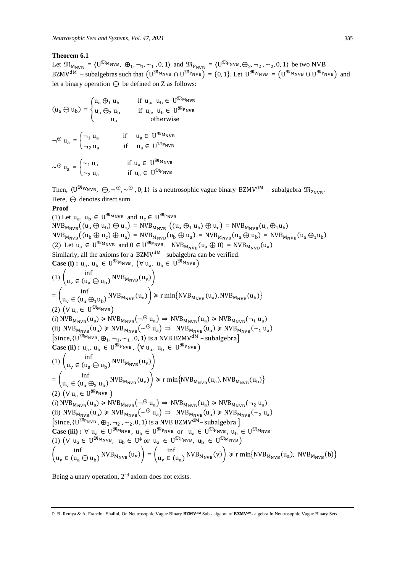### **Theorem 6.1**

Let  $\mathfrak{M}_{M_{\text{NVB}}} = \langle U^{\mathfrak{M}_{\text{MNB}}}$ ,  $\oplus_1$ ,  $\neg_1$ ,  $\sim_1$ , 0, 1) and  $\mathfrak{M}_{P_{\text{NVB}}} = \langle U^{\mathfrak{M}_{\text{PNNB}}}$ ,  $\oplus_2$ ,  $\neg_2$ ,  $\sim_2$ , 0, 1) be two NVB BZMV<sup>dM</sup> – subalgebras such that  $(U^{\mathfrak{M}_{M_{NVB}}} \cap U^{\mathfrak{M}_{P_{NVB}}}) = \{0, 1\}$ . Let  $U^{\mathfrak{M}_{W_{NVB}}} = (U^{\mathfrak{M}_{M_{NVB}}} \cup U^{\mathfrak{M}_{P_{NVB}}} )$  and let a binary operation  $\Theta$  be defined on Z as follows:

 $(u_a \ominus u_b) = \{$  $u_a \bigoplus_1 u_b$  if  $u_a$ ,  $u_b \in U^{\mathfrak{M}_{MNVB}}$  $u_a \bigoplus_2 u_b$  if  $u_a$ ,  $u_b \in U^{\mathfrak{M}_{\text{PNVB}}}$ u<sub>a</sub> otherwise  $\neg^{\circledcirc} u_a = \begin{cases} \neg_1 u_a & \text{if } u_a \in U^{\mathfrak{M}_{MNB}} \\ u_a & \text{if } u_a \in U^{\mathfrak{M}_{Bym}} \end{cases}$  $\neg_2 u_a$  if  $u_a \in U^{\mathfrak{M}_{PNVB}}$  $\sim \mathcal{E} \mathbf{u}_{\mathbf{a}} = \begin{cases} \sim_1 \mathbf{u}_{\mathbf{a}} & \text{if } \mathbf{u}_{\mathbf{a}} \in \mathbf{U}^{\mathfrak{M}_{\text{MVB}}} \\ \mathbf{u}_{\mathbf{a}} & \text{if } \mathbf{u}_{\mathbf{a}} \in \mathbf{U}^{\mathfrak{M}_{\text{B}}, \text{sup}} \end{cases}$  $\sim_2$  u<sub>a</sub> if u<sub>a</sub>  $\in$  U<sup>MP</sup>NVB</sup>

Then,  $(U^{\mathfrak{M}_{W_{NVB}}}, \Theta, \neg^{\Theta}, \sim^{\Theta}, 0, 1)$  is a neutrosophic vague binary BZMV<sup>dM</sup> – subalgebra  $\mathfrak{M}_{Z_{NVB}}$ . Here,  $\ominus$  denotes direct sum.

### **Proof**

(1) Let  $u_a$ ,  $u_b \in U^{\mathfrak{M}_{MNVB}}$  and  $u_c \in U^{\mathfrak{M}_{PNVB}}$  $NVB_{M_{NVB}}((u_a \oplus u_b) \oplus u_c) = NVB_{M_{NVB}}((u_a \oplus_1 u_b) \oplus u_c) = NVB_{M_{NVB}}(u_a \oplus_1 u_b)$  $NVB_{M_{NVB}}((u_b \oplus u_c) \oplus u_a) = NVB_{M_{NVB}}(u_b \oplus u_a) = NVB_{M_{NVB}}(u_a \oplus u_b) = NVB_{M_{NVB}}(u_a \oplus u_b)$ (2) Let  $u_a \in U^{\mathfrak{M}_{\text{MNVB}}}$  and  $0 \in U^{\mathfrak{M}_{\text{PNVB}}}$ . NVB<sub>M<sub>NVB</sub>( $u_a \oplus 0$ ) = NVB<sub>M<sub>NVB</sub>( $u_a$ )</sub></sub> Similarly, all the axioms for a  $BZMV^{dM}$ – subalgebra can be verified. **Case (i) :**  $u_a$ ,  $u_b \in U^{\mathfrak{M}_{MNVB}}$ ,  $(\forall u_a, u_b \in U^{\mathfrak{M}_{MNB}})$  $(1)$   $\int_{\alpha}$  inf  $u_v \in (u_a \ominus u_b)$  NVB<sub>MNVB</sub> $(u_v)$  $=\int_{\Omega}$  inf  $u_v \in (u_a \bigoplus_1 u_b)$  NVB<sub>MNVB</sub> $(u_v)$   $\ge$  r min{NVB<sub>MNVB</sub> $(u_a)$ , NVB<sub>MNVB</sub> $(u_b)$ } (2)  $(\forall u_a \in U^{\mathfrak{M}_{\text{MVB}}})$ (i)  $\text{NVB}_{M_{\text{NVB}}}(u_a) \geq \text{NVB}_{M_{\text{NVB}}}(\neg \odot u_a) \Rightarrow \text{NVB}_{M_{\text{NVB}}}(u_a) \geq \text{NVB}_{M_{\text{NVB}}}(\neg_1 u_a)$ (ii)  $NVB_{M_{NVB}}(u_a) \geq NVB_{M_{NVB}}(\sim^\circledcirc u_a) \Rightarrow NVB_{M_{NVB}}(u_a) \geq NVB_{M_{NVB}}(\sim_1 u_a)$  $\left[\text{Since, (U^{\mathfrak{M}_{\text{M}_{\text{N}}}}}, \bigoplus_{1}, \neg_1, \sim_1, 0, 1 \right)$  is a NVB BZMV<sup>dM</sup> – subalgebra $\left]$ **Case (ii)**:  $u_a$ ,  $u_b \in U^{\mathfrak{M}_{PNVB}}$ ,  $(\forall u_a, u_b \in U^{\mathfrak{M}_{PNVB}})$  $(1)$   $\int_{\alpha}$  inf  $u_v \in (u_a \ominus u_b)$  NVB<sub>MNVB</sub> $(u_v)$  $=\int_{\mathcal{L}}$  inf  $u_v \in (u_a \bigoplus_2 u_b)$  NVB<sub>MNVB</sub> $(u_v)$   $\ge$  r min{NVB<sub>MNVB</sub> $(u_a)$ , NVB<sub>MNVB</sub> $(u_b)$ } (2)  $(\forall u_a \in U^{\mathfrak{M}_{P_{NVB}}} )$ (i)  $NVB_{M_{NVB}}(u_a) \geq NVB_{M_{NVB}}(\neg \mathcal{P} u_a) \Rightarrow NVB_{M_{NVB}}(u_a) \geq NVB_{M_{NVB}}(\neg_2 u_a)$ (ii)  $NVB_{M_{NVB}}(u_a) \geq NVB_{M_{NVB}}(\sim^\circledast u_a) \Rightarrow NVB_{M_{NVB}}(u_a) \geq NVB_{M_{NVB}}(\sim_2 u_a)$ [Since,  $\langle U^{\mathfrak{M}_{\text{PNVB}}}$  ,  $\oplus_2$ ,  $\neg_2$  ,  $\sim_2$ , 0, 1) is a NVB BZMV<sup>dM</sup> – subalgebra ] **Case (iii) :**  $\forall$   $u_a \in U^{\mathfrak{M}_{MNP}}$ ,  $u_b \in U^{\mathfrak{M}_{PNVB}}$  or  $u_a \in U^{\mathfrak{M}_{PNVB}}$ ,  $u_b \in U^{\mathfrak{M}_{MNP}}$ 

(1) 
$$
(\forall u_a \in U^{\mathfrak{M}_{\text{MVB}}}, u_b \in U^{\dagger} \text{ or } u_a \in U^{\mathfrak{M}_{\text{PVVB}}}, u_b \in U^{\mathfrak{M}_{\text{MVB}}})
$$
  
\n
$$
\begin{pmatrix}\n\inf_{u_v \in (u_a \ominus u_b)} \text{NVB}_{\text{M}_{\text{NVB}}}(u_v)\n\end{pmatrix} = \begin{pmatrix}\n\inf_{u_v \in (u_a)} \text{NVB}_{\text{M}_{\text{NVB}}}(v)\n\end{pmatrix} \geq r \min\{\text{NVB}_{\text{M}_{\text{NVB}}}(u_a), \text{NVB}_{\text{M}_{\text{NVB}}}(b)\}
$$

Being a unary operation, 2<sup>nd</sup> axiom does not exists.

P. B. Remya & A. Francina Shalini, On Neutrosophic Vague Binary BZMV<sup>dM</sup> Sub - algebra of BZMV<sup>dM</sup>- algebra In Neutrosophic Vague Binary Sets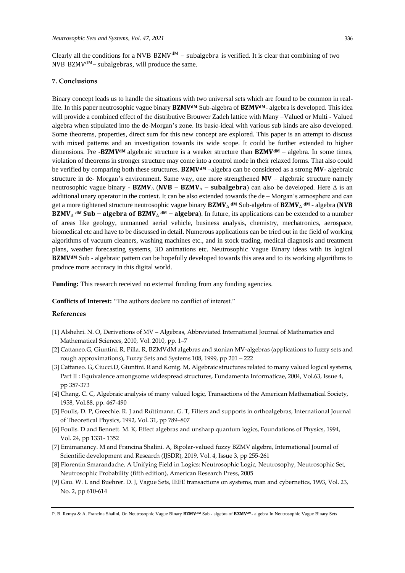Clearly all the conditions for a NVB  $BZMV^{dM}$  – subalgebra is verified. It is clear that combining of two NVB BZMV<sup>dM</sup> – subalgebras, will produce the same.

#### **7. Conclusions**

Binary concept leads us to handle the situations with two universal sets which are found to be common in reallife. In this paper neutrosophic vague binary BZMV<sup>dM</sup> Sub-algebra of BZMV<sup>dM</sup>- algebra is developed. This idea will provide a combined effect of the distributive Brouwer Zadeh lattice with Many –Valued or Multi - Valued algebra when stipulated into the de-Morgan's zone. Its basic-ideal with various sub kinds are also developed. Some theorems, properties, direct sum for this new concept are explored. This paper is an attempt to discuss with mixed patterns and an investigation towards its wide scope. It could be further extended to higher dimensions. Pre - BZMV<sup>dM</sup> algebraic structure is a weaker structure than  $BZMV^{dM}$  – algebra. In some times, violation of theorems in stronger structure may come into a control mode in their relaxed forms. That also could be verified by comparing both these structures. **BZMV<sup>dM</sup>** –algebra can be considered as a strong **MV**- algebraic structure in de- Morgan's environment. Same way, one more strengthened  $MV - algebraic$  structure namely neutrosophic vague binary - **BZMV**<sub> $\Delta$ </sub> (**NVB** – **BZMV** $_{\Delta}$  – **subalgebra**) can also be developed. Here  $\Delta$  is an additional unary operator in the context. It can be also extended towards the de – Morgan's atmosphere and can get a more tightened structure neutrosophic vague binary  $BZMV_{\Delta}^{\text{dM}}$  Sub-algebra of  $BZMV_{\Delta}^{\text{dM}}$  - algebra (NVB **BZMV**<sub> $\Delta$ </sub> dM Sub – algebra of BZMV<sub> $\Delta$ </sub> dM – algebra). In future, its applications can be extended to a number of areas like geology, unmanned aerial vehicle, business analysis, chemistry, mechatronics, aerospace, biomedical etc and have to be discussed in detail. Numerous applications can be tried out in the field of working algorithms of vacuum cleaners, washing machines etc., and in stock trading, medical diagnosis and treatment plans, weather forecasting systems, 3D animations etc. Neutrosophic Vague Binary ideas with its logical  $BZMV^{dM}$  Sub - algebraic pattern can be hopefully developed towards this area and to its working algorithms to produce more accuracy in this digital world.

**Funding:** This research received no external funding from any funding agencies.

**Conflicts of Interest:** "The authors declare no conflict of interest."

### **References**

- [1] Alshehri. N. O, Derivations of MV Algebras, Abbreviated International Journal of Mathematics and Mathematical Sciences, 2010, Vol. 2010, pp. 1–7
- [2] Cattaneo.G, Giuntini. R, Pilla. R, BZMVdM algebras and stonian MV-algebras (applications to fuzzy sets and rough approximations), Fuzzy Sets and Systems 108, 1999, pp 201 – 222
- [3] Cattaneo. G, Ciucci.D, Giuntini. R and Konig. M, Algebraic structures related to many valued logical systems, Part II : Equivalence amongsome widespread structures, Fundamenta Informaticae, 2004, Vol.63, Issue 4, pp 357-373
- [4] Chang. C. C, Algebraic analysis of many valued logic, Transactions of the American Mathematical Society, 1958, Vol.88, pp. 467-490
- [5] Foulis, D. P, Greechie. R. J and Rüttimann. G. T, Filters and supports in orthoalgebras, International Journal of Theoretical Physics, 1992, Vol. 31, pp 789–807
- [6] Foulis. D and Bennett. M. K, Effect algebras and unsharp quantum logics, Foundations of Physics, 1994, Vol. 24, pp 1331- 1352
- [7] Emimanancy. M and Francina Shalini. A, Bipolar-valued fuzzy BZMV algebra, International Journal of Scientific development and Research (IJSDR), 2019, Vol. 4, Issue 3, pp 255-261
- [8] Florentin Smarandache, A Unifying Field in Logics: Neutrosophic Logic, Neutrosophy, Neutrosophic Set, Neutrosophic Probability (fifth edition), American Research Press, 2005
- [9] Gau. W. L and Buehrer. D. J, Vague Sets, IEEE transactions on systems, man and cybernetics, 1993, Vol. 23, No. 2, pp 610-614

P. B. Remya & A. Francina Shalini, On Neutrosophic Vague Binary BZMV<sup>dM</sup> Sub - algebra of BZMV<sup>dM</sup>- algebra In Neutrosophic Vague Binary Sets